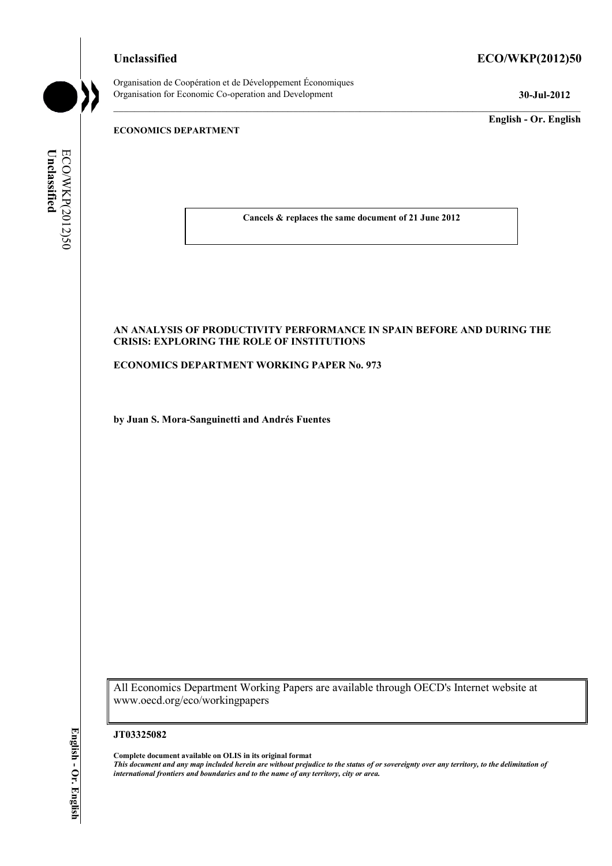# **Unclassified ECO/WKP(2012)50**

Organisation de Coopération et de Développement Économiques Organisation for Economic Co-operation and Development **30-Jul-2012** 

**English - Or. English** 

# **ECONOMICS DEPARTMENT**

ECO/WKP(2012)50 Unclassified **Unclassified**  ECO/WKP(2012)50

**Cancels & replaces the same document of 21 June 2012** 

# **AN ANALYSIS OF PRODUCTIVITY PERFORMANCE IN SPAIN BEFORE AND DURING THE CRISIS: EXPLORING THE ROLE OF INSTITUTIONS**

**ECONOMICS DEPARTMENT WORKING PAPER No. 973** 

**by Juan S. Mora-Sanguinetti and Andrés Fuentes** 

All Economics Department Working Papers are available through OECD's Internet website at www.oecd.org/eco/workingpapers

#### **JT03325082**

**Complete document available on OLIS in its original format** *This document and any map included herein are without prejudice to the status of or sovereignty over any territory, to the delimitation of international frontiers and boundaries and to the name of any territory, city or area.*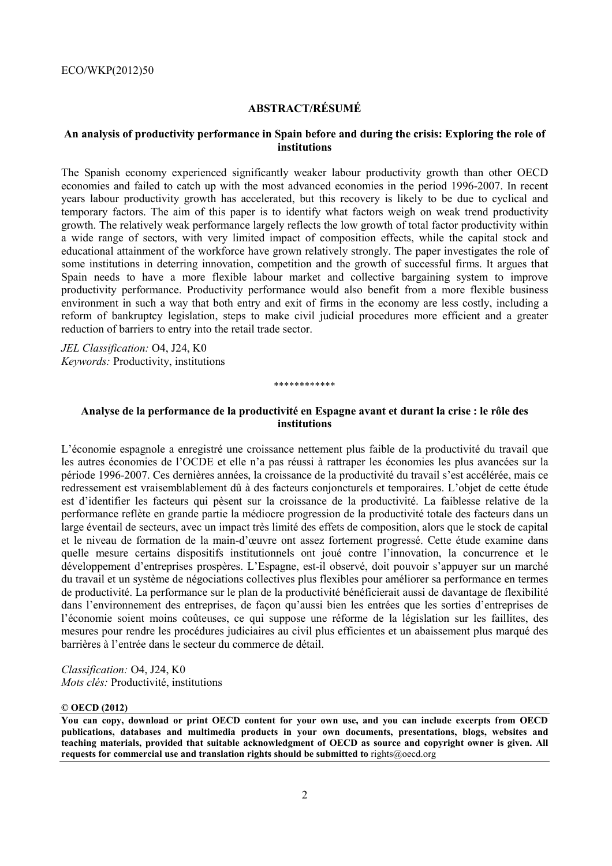# **ABSTRACT/RÉSUMÉ**

# **An analysis of productivity performance in Spain before and during the crisis: Exploring the role of institutions**

The Spanish economy experienced significantly weaker labour productivity growth than other OECD economies and failed to catch up with the most advanced economies in the period 1996-2007. In recent years labour productivity growth has accelerated, but this recovery is likely to be due to cyclical and temporary factors. The aim of this paper is to identify what factors weigh on weak trend productivity growth. The relatively weak performance largely reflects the low growth of total factor productivity within a wide range of sectors, with very limited impact of composition effects, while the capital stock and educational attainment of the workforce have grown relatively strongly. The paper investigates the role of some institutions in deterring innovation, competition and the growth of successful firms. It argues that Spain needs to have a more flexible labour market and collective bargaining system to improve productivity performance. Productivity performance would also benefit from a more flexible business environment in such a way that both entry and exit of firms in the economy are less costly, including a reform of bankruptcy legislation, steps to make civil judicial procedures more efficient and a greater reduction of barriers to entry into the retail trade sector.

*JEL Classification:* O4, J24, K0 *Keywords:* Productivity, institutions

#### \*\*\*\*\*\*\*\*\*\*\*\*

# **Analyse de la performance de la productivité en Espagne avant et durant la crise : le rôle des institutions**

L'économie espagnole a enregistré une croissance nettement plus faible de la productivité du travail que les autres économies de l'OCDE et elle n'a pas réussi à rattraper les économies les plus avancées sur la période 1996-2007. Ces dernières années, la croissance de la productivité du travail s'est accélérée, mais ce redressement est vraisemblablement dû à des facteurs conjoncturels et temporaires. L'objet de cette étude est d'identifier les facteurs qui pèsent sur la croissance de la productivité. La faiblesse relative de la performance reflète en grande partie la médiocre progression de la productivité totale des facteurs dans un large éventail de secteurs, avec un impact très limité des effets de composition, alors que le stock de capital et le niveau de formation de la main-d'œuvre ont assez fortement progressé. Cette étude examine dans quelle mesure certains dispositifs institutionnels ont joué contre l'innovation, la concurrence et le développement d'entreprises prospères. L'Espagne, est-il observé, doit pouvoir s'appuyer sur un marché du travail et un système de négociations collectives plus flexibles pour améliorer sa performance en termes de productivité. La performance sur le plan de la productivité bénéficierait aussi de davantage de flexibilité dans l'environnement des entreprises, de façon qu'aussi bien les entrées que les sorties d'entreprises de l'économie soient moins coûteuses, ce qui suppose une réforme de la législation sur les faillites, des mesures pour rendre les procédures judiciaires au civil plus efficientes et un abaissement plus marqué des barrières à l'entrée dans le secteur du commerce de détail.

*Classification:* O4, J24, K0 *Mots clés:* Productivité, institutions

## **© OECD (2012)**

**You can copy, download or print OECD content for your own use, and you can include excerpts from OECD publications, databases and multimedia products in your own documents, presentations, blogs, websites and teaching materials, provided that suitable acknowledgment of OECD as source and copyright owner is given. All requests for commercial use and translation rights should be submitted to** rights@oecd.org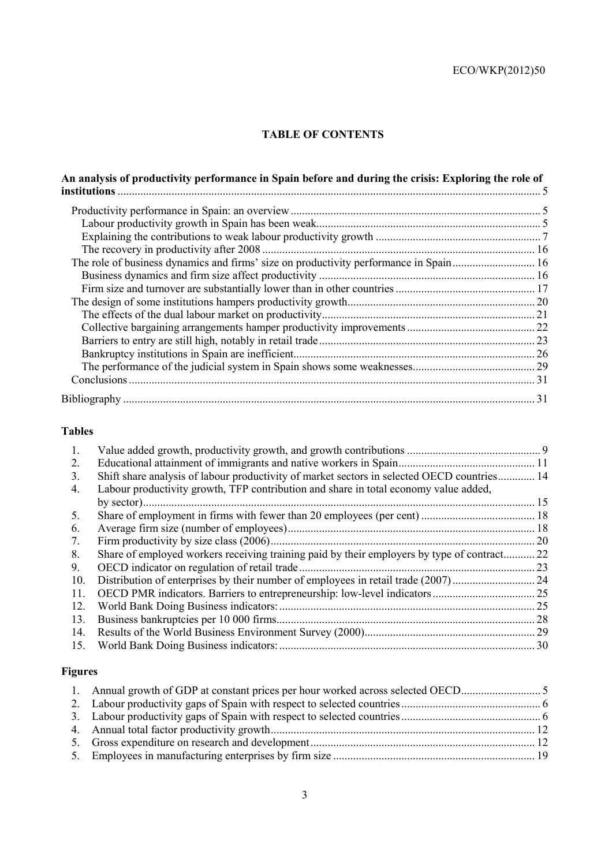# **TABLE OF CONTENTS**

| An analysis of productivity performance in Spain before and during the crisis: Exploring the role of |  |
|------------------------------------------------------------------------------------------------------|--|
|                                                                                                      |  |
|                                                                                                      |  |
|                                                                                                      |  |
|                                                                                                      |  |
|                                                                                                      |  |
| The role of business dynamics and firms' size on productivity performance in Spain 16                |  |
|                                                                                                      |  |
|                                                                                                      |  |
|                                                                                                      |  |
|                                                                                                      |  |
|                                                                                                      |  |
|                                                                                                      |  |
|                                                                                                      |  |
|                                                                                                      |  |
|                                                                                                      |  |
|                                                                                                      |  |

# **Tables**

| 1.  |                                                                                             |      |
|-----|---------------------------------------------------------------------------------------------|------|
| 2.  |                                                                                             |      |
| 3.  | Shift share analysis of labour productivity of market sectors in selected OECD countries 14 |      |
| 4.  | Labour productivity growth, TFP contribution and share in total economy value added,        |      |
|     |                                                                                             | . 15 |
| 5.  |                                                                                             |      |
| 6.  |                                                                                             |      |
| 7.  |                                                                                             | 20   |
| 8.  | Share of employed workers receiving training paid by their employers by type of contract    | 22   |
| 9.  |                                                                                             | 23   |
| 10. | Distribution of enterprises by their number of employees in retail trade (2007)             | 24   |
| 11. |                                                                                             |      |
| 12. |                                                                                             | .25  |
| 13. |                                                                                             | 28   |
| 14. |                                                                                             |      |
| 15. |                                                                                             | .30  |
|     |                                                                                             |      |

# **Figures**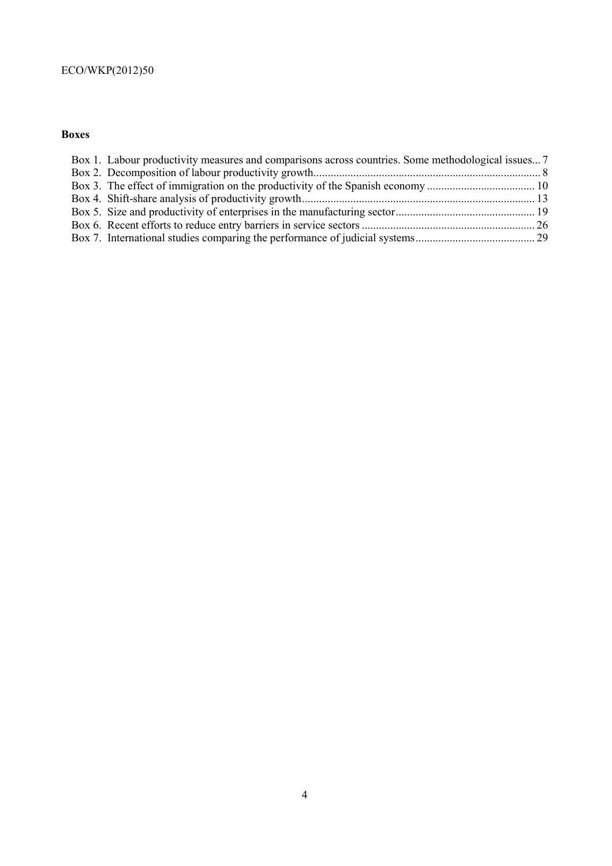# **Boxes**

| Box 1. Labour productivity measures and comparisons across countries. Some methodological issues 7 |  |
|----------------------------------------------------------------------------------------------------|--|
|                                                                                                    |  |
|                                                                                                    |  |
|                                                                                                    |  |
|                                                                                                    |  |
|                                                                                                    |  |
|                                                                                                    |  |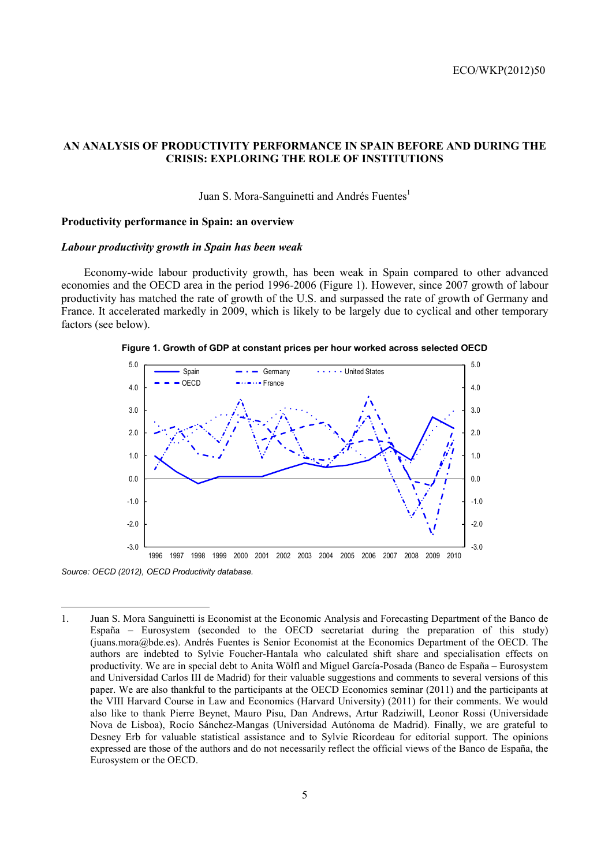# **AN ANALYSIS OF PRODUCTIVITY PERFORMANCE IN SPAIN BEFORE AND DURING THE CRISIS: EXPLORING THE ROLE OF INSTITUTIONS**

# Juan S. Mora-Sanguinetti and Andrés Fuentes<sup>1</sup>

#### **Productivity performance in Spain: an overview**

#### *Labour productivity growth in Spain has been weak*

Economy-wide labour productivity growth, has been weak in Spain compared to other advanced economies and the OECD area in the period 1996-2006 (Figure 1). However, since 2007 growth of labour productivity has matched the rate of growth of the U.S. and surpassed the rate of growth of Germany and France. It accelerated markedly in 2009, which is likely to be largely due to cyclical and other temporary factors (see below).





*Source: OECD (2012), OECD Productivity database.* 

<sup>1.</sup> Juan S. Mora Sanguinetti is Economist at the Economic Analysis and Forecasting Department of the Banco de España – Eurosystem (seconded to the OECD secretariat during the preparation of this study) (juans.mora@bde.es). Andrés Fuentes is Senior Economist at the Economics Department of the OECD. The authors are indebted to Sylvie Foucher-Hantala who calculated shift share and specialisation effects on productivity. We are in special debt to Anita Wölfl and Miguel García-Posada (Banco de España – Eurosystem and Universidad Carlos III de Madrid) for their valuable suggestions and comments to several versions of this paper. We are also thankful to the participants at the OECD Economics seminar (2011) and the participants at the VIII Harvard Course in Law and Economics (Harvard University) (2011) for their comments. We would also like to thank Pierre Beynet, Mauro Pisu, Dan Andrews, Artur Radziwill, Leonor Rossi (Universidade Nova de Lisboa), Rocío Sánchez-Mangas (Universidad Autónoma de Madrid). Finally, we are grateful to Desney Erb for valuable statistical assistance and to Sylvie Ricordeau for editorial support. The opinions expressed are those of the authors and do not necessarily reflect the official views of the Banco de España, the Eurosystem or the OECD.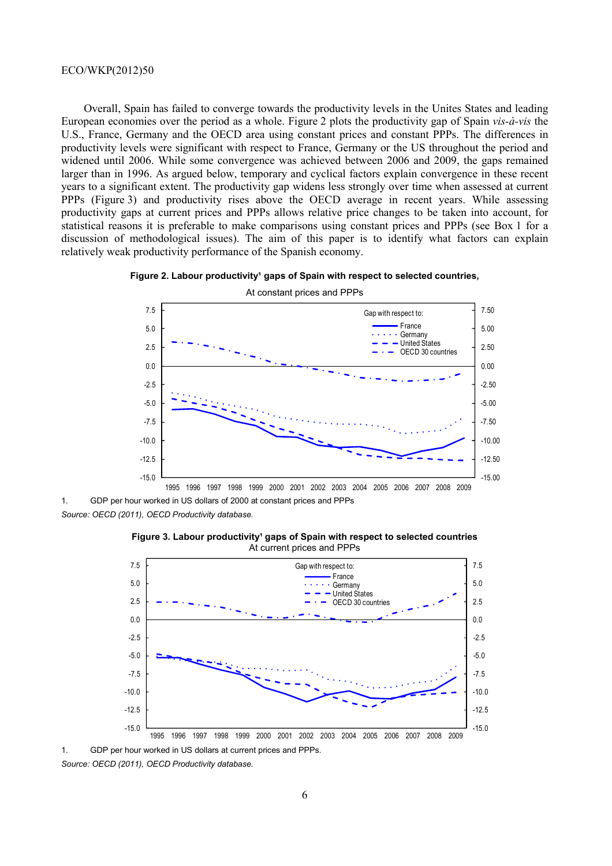Overall, Spain has failed to converge towards the productivity levels in the Unites States and leading European economies over the period as a whole. Figure 2 plots the productivity gap of Spain *vis-à-vis* the U.S., France, Germany and the OECD area using constant prices and constant PPPs. The differences in productivity levels were significant with respect to France, Germany or the US throughout the period and widened until 2006. While some convergence was achieved between 2006 and 2009, the gaps remained larger than in 1996. As argued below, temporary and cyclical factors explain convergence in these recent years to a significant extent. The productivity gap widens less strongly over time when assessed at current PPPs (Figure 3) and productivity rises above the OECD average in recent years. While assessing productivity gaps at current prices and PPPs allows relative price changes to be taken into account, for statistical reasons it is preferable to make comparisons using constant prices and PPPs (see Box 1 for a discussion of methodological issues). The aim of this paper is to identify what factors can explain relatively weak productivity performance of the Spanish economy.





1. GDP per hour worked in US dollars of 2000 at constant prices and PPPs

*Source: OECD (2011), OECD Productivity database.* 

**Figure 3. Labour productivity<sup>1</sup> gaps of Spain with respect to selected countries** At current prices and PPPs



1. GDP per hour worked in US dollars at current prices and PPPs. *Source: OECD (2011), OECD Productivity database.*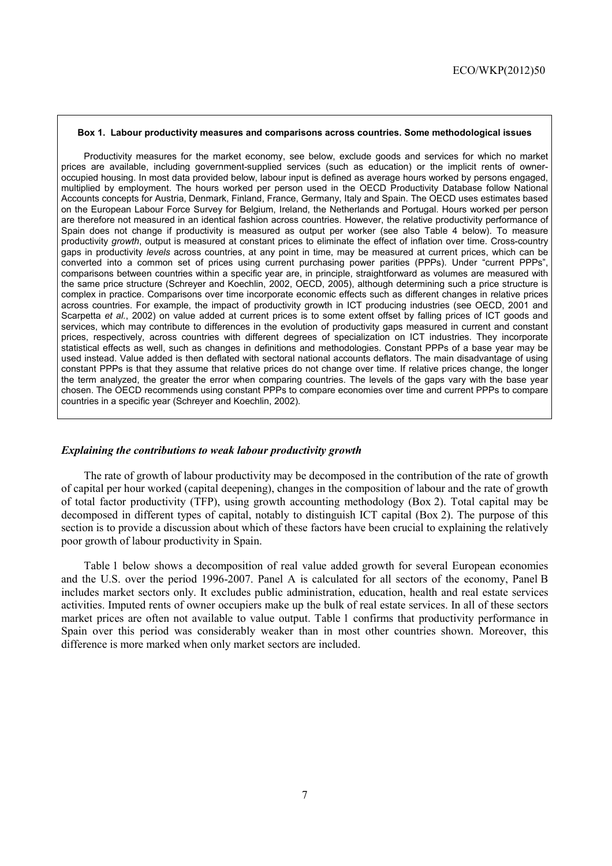#### **Box 1. Labour productivity measures and comparisons across countries. Some methodological issues**

Productivity measures for the market economy, see below, exclude goods and services for which no market prices are available, including government-supplied services (such as education) or the implicit rents of owneroccupied housing. In most data provided below, labour input is defined as average hours worked by persons engaged, multiplied by employment. The hours worked per person used in the OECD Productivity Database follow National Accounts concepts for Austria, Denmark, Finland, France, Germany, Italy and Spain. The OECD uses estimates based on the European Labour Force Survey for Belgium, Ireland, the Netherlands and Portugal. Hours worked per person are therefore not measured in an identical fashion across countries. However, the relative productivity performance of Spain does not change if productivity is measured as output per worker (see also Table 4 below). To measure productivity *growth*, output is measured at constant prices to eliminate the effect of inflation over time. Cross-country gaps in productivity *levels* across countries, at any point in time, may be measured at current prices, which can be converted into a common set of prices using current purchasing power parities (PPPs). Under "current PPPs", comparisons between countries within a specific year are, in principle, straightforward as volumes are measured with the same price structure (Schreyer and Koechlin, 2002, OECD, 2005), although determining such a price structure is complex in practice. Comparisons over time incorporate economic effects such as different changes in relative prices across countries. For example, the impact of productivity growth in ICT producing industries (see OECD, 2001 and Scarpetta *et al.*, 2002) on value added at current prices is to some extent offset by falling prices of ICT goods and services, which may contribute to differences in the evolution of productivity gaps measured in current and constant prices, respectively, across countries with different degrees of specialization on ICT industries. They incorporate statistical effects as well, such as changes in definitions and methodologies. Constant PPPs of a base year may be used instead. Value added is then deflated with sectoral national accounts deflators. The main disadvantage of using constant PPPs is that they assume that relative prices do not change over time. If relative prices change, the longer the term analyzed, the greater the error when comparing countries. The levels of the gaps vary with the base year chosen. The OECD recommends using constant PPPs to compare economies over time and current PPPs to compare countries in a specific year (Schreyer and Koechlin, 2002).

#### *Explaining the contributions to weak labour productivity growth*

The rate of growth of labour productivity may be decomposed in the contribution of the rate of growth of capital per hour worked (capital deepening), changes in the composition of labour and the rate of growth of total factor productivity (TFP), using growth accounting methodology (Box 2). Total capital may be decomposed in different types of capital, notably to distinguish ICT capital (Box 2). The purpose of this section is to provide a discussion about which of these factors have been crucial to explaining the relatively poor growth of labour productivity in Spain.

Table 1 below shows a decomposition of real value added growth for several European economies and the U.S. over the period 1996-2007. Panel A is calculated for all sectors of the economy, Panel B includes market sectors only. It excludes public administration, education, health and real estate services activities. Imputed rents of owner occupiers make up the bulk of real estate services. In all of these sectors market prices are often not available to value output. Table 1 confirms that productivity performance in Spain over this period was considerably weaker than in most other countries shown. Moreover, this difference is more marked when only market sectors are included.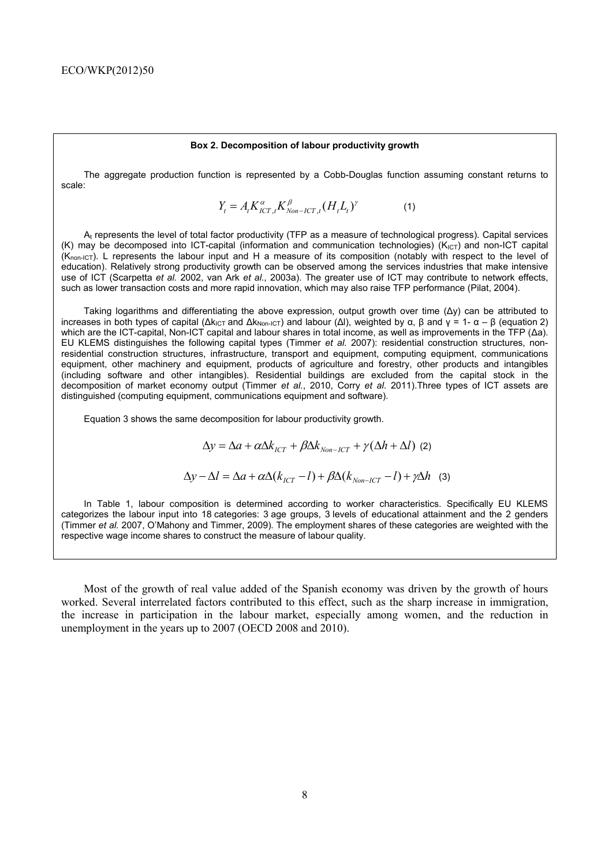#### **Box 2. Decomposition of labour productivity growth**

The aggregate production function is represented by a Cobb-Douglas function assuming constant returns to scale:

$$
Y_t = A_t K_{ICT,t}^{\alpha} K_{Non-ICT,t}^{\beta} (H_t L_t)^{\gamma}
$$
 (1)

A<sub>t</sub> represents the level of total factor productivity (TFP as a measure of technological progress). Capital services (K) may be decomposed into ICT-capital (information and communication technologies) ( $K_{\text{ICT}}$ ) and non-ICT capital (Knon-ICT). L represents the labour input and H a measure of its composition (notably with respect to the level of education). Relatively strong productivity growth can be observed among the services industries that make intensive use of ICT (Scarpetta *et al.* 2002, van Ark *et al.*, 2003a). The greater use of ICT may contribute to network effects, such as lower transaction costs and more rapid innovation, which may also raise TFP performance (Pilat, 2004).

Taking logarithms and differentiating the above expression, output growth over time (∆y) can be attributed to increases in both types of capital ( $\Delta k_{\text{ICT}}$  and  $\Delta k_{\text{Non-ICT}}$ ) and labour ( $\Delta l$ ), weighted by α, β and  $\gamma = 1 - \alpha - \beta$  (equation 2) which are the ICT-capital, Non-ICT capital and labour shares in total income, as well as improvements in the TFP (Δa). EU KLEMS distinguishes the following capital types (Timmer *et al.* 2007): residential construction structures, nonresidential construction structures, infrastructure, transport and equipment, computing equipment, communications equipment, other machinery and equipment, products of agriculture and forestry, other products and intangibles (including software and other intangibles). Residential buildings are excluded from the capital stock in the decomposition of market economy output (Timmer *et al.*, 2010, Corry *et al.* 2011).Three types of ICT assets are distinguished (computing equipment, communications equipment and software).

Equation 3 shows the same decomposition for labour productivity growth.

$$
\Delta y = \Delta a + \alpha \Delta k_{ICT} + \beta \Delta k_{Non-ICT} + \gamma (\Delta h + \Delta l) \tag{2}
$$

$$
\Delta y - \Delta l = \Delta a + \alpha \Delta (k_{ICT} - l) + \beta \Delta (k_{Non-ICT} - l) + \gamma \Delta h \quad (3)
$$

In Table 1, labour composition is determined according to worker characteristics. Specifically EU KLEMS categorizes the labour input into 18 categories: 3 age groups, 3 levels of educational attainment and the 2 genders (Timmer *et al.* 2007, O'Mahony and Timmer, 2009). The employment shares of these categories are weighted with the respective wage income shares to construct the measure of labour quality.

Most of the growth of real value added of the Spanish economy was driven by the growth of hours worked. Several interrelated factors contributed to this effect, such as the sharp increase in immigration, the increase in participation in the labour market, especially among women, and the reduction in unemployment in the years up to 2007 (OECD 2008 and 2010).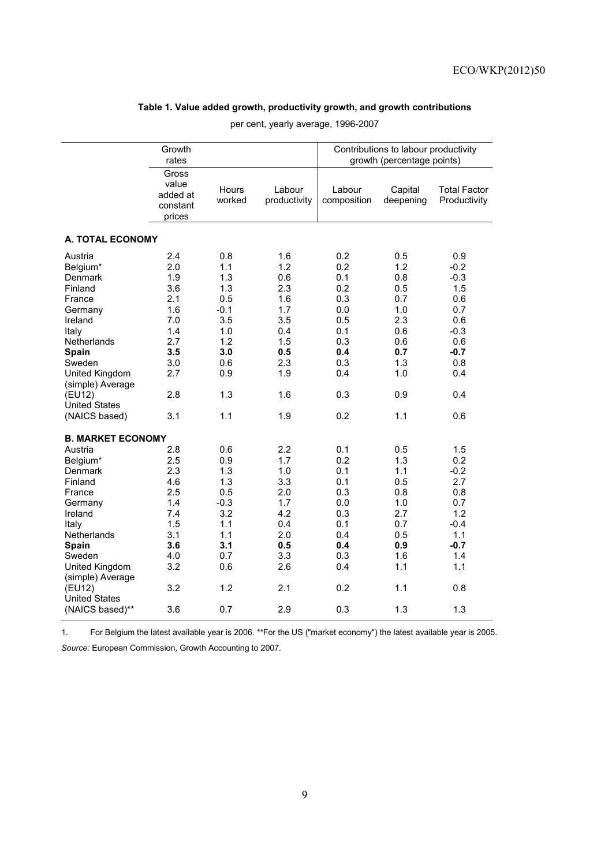# **Table 1. Value added growth, productivity growth, and growth contributions**

|                                                                                                                                                                                                                                                    | Growth<br>rates                                                                                |                                                                                                   |                                                                                                |                                                                                                | Contributions to labour productivity<br>growth (percentage points)                             |                                                                                                         |
|----------------------------------------------------------------------------------------------------------------------------------------------------------------------------------------------------------------------------------------------------|------------------------------------------------------------------------------------------------|---------------------------------------------------------------------------------------------------|------------------------------------------------------------------------------------------------|------------------------------------------------------------------------------------------------|------------------------------------------------------------------------------------------------|---------------------------------------------------------------------------------------------------------|
|                                                                                                                                                                                                                                                    | Gross<br>value<br>added at<br>constant<br>prices                                               | Hours<br>worked                                                                                   | Labour<br>productivity                                                                         | Labour<br>composition                                                                          | Capital<br>deepening                                                                           | <b>Total Factor</b><br>Productivity                                                                     |
| <b>A. TOTAL ECONOMY</b>                                                                                                                                                                                                                            |                                                                                                |                                                                                                   |                                                                                                |                                                                                                |                                                                                                |                                                                                                         |
| Austria<br>Belgium*<br><b>Denmark</b><br>Finland<br>France<br>Germany<br>Ireland<br>Italy<br>Netherlands<br>Spain<br>Sweden<br>United Kingdom<br>(simple) Average<br>(EU12)<br><b>United States</b>                                                | 2.4<br>2.0<br>1.9<br>3.6<br>2.1<br>1.6<br>7.0<br>1.4<br>2.7<br>3.5<br>3.0<br>2.7<br>2.8        | 0.8<br>1.1<br>1.3<br>1.3<br>0.5<br>$-0.1$<br>3.5<br>1.0<br>1.2<br>3.0<br>0.6<br>0.9<br>1.3        | 1.6<br>1.2<br>0.6<br>2.3<br>1.6<br>1.7<br>3.5<br>0.4<br>1.5<br>0.5<br>2.3<br>1.9<br>1.6        | 0.2<br>0.2<br>0.1<br>0.2<br>0.3<br>0.0<br>0.5<br>0.1<br>0.3<br>0.4<br>0.3<br>0.4<br>0.3        | 0.5<br>1.2<br>0.8<br>0.5<br>0.7<br>1.0<br>2.3<br>0.6<br>0.6<br>0.7<br>1.3<br>1.0<br>0.9        | 0.9<br>$-0.2$<br>$-0.3$<br>1.5<br>0.6<br>0.7<br>0.6<br>$-0.3$<br>0.6<br>$-0.7$<br>0.8<br>0.4<br>0.4     |
| (NAICS based)                                                                                                                                                                                                                                      | 3.1                                                                                            | 1.1                                                                                               | 1.9                                                                                            | 0.2                                                                                            | 1.1                                                                                            | 0.6                                                                                                     |
| <b>B. MARKET ECONOMY</b><br>Austria<br>Belgium*<br><b>Denmark</b><br>Finland<br>France<br>Germany<br>Ireland<br>Italy<br>Netherlands<br>Spain<br>Sweden<br>United Kingdom<br>(simple) Average<br>(EU12)<br><b>United States</b><br>(NAICS based)** | 2.8<br>2.5<br>2.3<br>4.6<br>2.5<br>1.4<br>7.4<br>1.5<br>3.1<br>3.6<br>4.0<br>3.2<br>3.2<br>3.6 | 0.6<br>0.9<br>1.3<br>1.3<br>0.5<br>$-0.3$<br>3.2<br>1.1<br>1.1<br>3.1<br>0.7<br>0.6<br>1.2<br>0.7 | 2.2<br>1.7<br>1.0<br>3.3<br>2.0<br>1.7<br>4.2<br>0.4<br>2.0<br>0.5<br>3.3<br>2.6<br>2.1<br>2.9 | 0.1<br>0.2<br>0.1<br>0.1<br>0.3<br>0.0<br>0.3<br>0.1<br>0.4<br>0.4<br>0.3<br>0.4<br>0.2<br>0.3 | 0.5<br>1.3<br>1.1<br>0.5<br>0.8<br>1.0<br>2.7<br>0.7<br>0.5<br>0.9<br>1.6<br>1.1<br>1.1<br>1.3 | 1.5<br>0.2<br>$-0.2$<br>2.7<br>0.8<br>0.7<br>1.2<br>$-0.4$<br>1.1<br>$-0.7$<br>1.4<br>1.1<br>0.8<br>1.3 |

per cent, yearly average, 1996-2007

1. For Belgium the latest available year is 2006. \*\*For the US ("market economy") the latest available year is 2005.

*Source:* European Commission, Growth Accounting to 2007.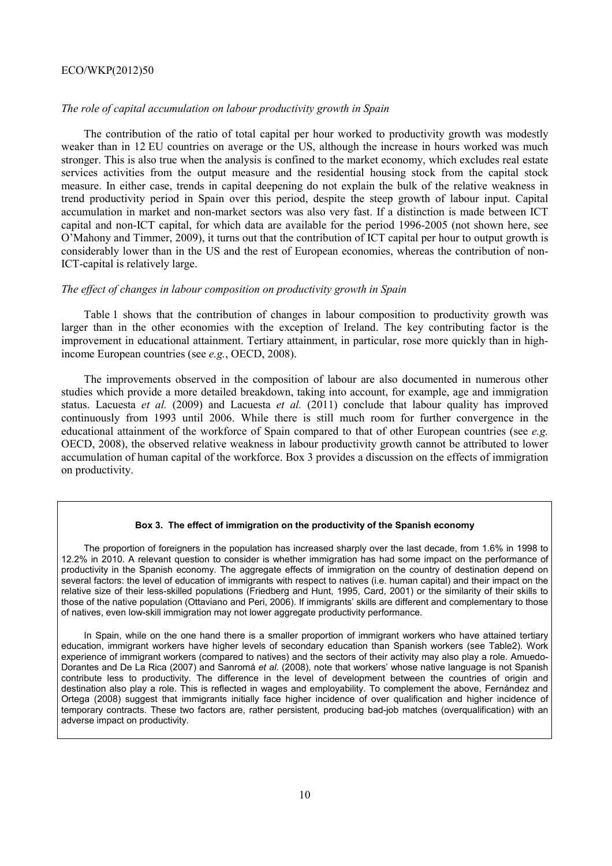## *The role of capital accumulation on labour productivity growth in Spain*

The contribution of the ratio of total capital per hour worked to productivity growth was modestly weaker than in 12 EU countries on average or the US, although the increase in hours worked was much stronger. This is also true when the analysis is confined to the market economy, which excludes real estate services activities from the output measure and the residential housing stock from the capital stock measure. In either case, trends in capital deepening do not explain the bulk of the relative weakness in trend productivity period in Spain over this period, despite the steep growth of labour input. Capital accumulation in market and non-market sectors was also very fast. If a distinction is made between ICT capital and non-ICT capital, for which data are available for the period 1996-2005 (not shown here, see O'Mahony and Timmer, 2009), it turns out that the contribution of ICT capital per hour to output growth is considerably lower than in the US and the rest of European economies, whereas the contribution of non-ICT-capital is relatively large.

# *The effect of changes in labour composition on productivity growth in Spain*

Table 1 shows that the contribution of changes in labour composition to productivity growth was larger than in the other economies with the exception of Ireland. The key contributing factor is the improvement in educational attainment. Tertiary attainment, in particular, rose more quickly than in highincome European countries (see *e.g.*, OECD, 2008).

The improvements observed in the composition of labour are also documented in numerous other studies which provide a more detailed breakdown, taking into account, for example, age and immigration status. Lacuesta *et al.* (2009) and Lacuesta *et al.* (2011) conclude that labour quality has improved continuously from 1993 until 2006. While there is still much room for further convergence in the educational attainment of the workforce of Spain compared to that of other European countries (see *e.g.* OECD, 2008), the observed relative weakness in labour productivity growth cannot be attributed to lower accumulation of human capital of the workforce. Box 3 provides a discussion on the effects of immigration on productivity.

#### **Box 3. The effect of immigration on the productivity of the Spanish economy**

The proportion of foreigners in the population has increased sharply over the last decade, from 1.6% in 1998 to 12.2% in 2010. A relevant question to consider is whether immigration has had some impact on the performance of productivity in the Spanish economy. The aggregate effects of immigration on the country of destination depend on several factors: the level of education of immigrants with respect to natives (i.e. human capital) and their impact on the relative size of their less-skilled populations (Friedberg and Hunt, 1995, Card, 2001) or the similarity of their skills to those of the native population (Ottaviano and Peri, 2006). If immigrants' skills are different and complementary to those of natives, even low-skill immigration may not lower aggregate productivity performance.

In Spain, while on the one hand there is a smaller proportion of immigrant workers who have attained tertiary education, immigrant workers have higher levels of secondary education than Spanish workers (see Table2). Work experience of immigrant workers (compared to natives) and the sectors of their activity may also play a role. Amuedo-Dorantes and De La Rica (2007) and Sanromá *et al.* (2008), note that workers' whose native language is not Spanish contribute less to productivity. The difference in the level of development between the countries of origin and destination also play a role. This is reflected in wages and employability. To complement the above, Fernández and Ortega (2008) suggest that immigrants initially face higher incidence of over qualification and higher incidence of temporary contracts. These two factors are, rather persistent, producing bad-job matches (overqualification) with an adverse impact on productivity.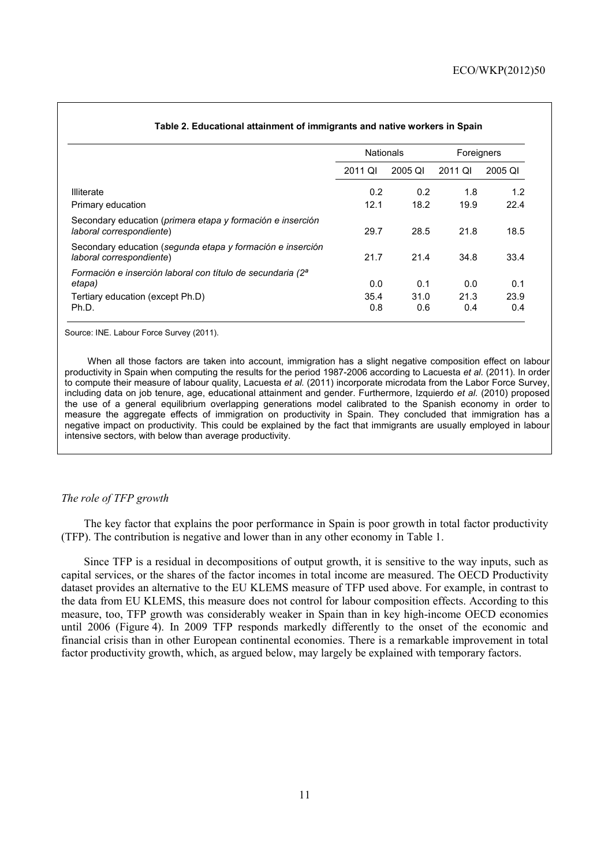|                                                                                        | <b>Nationals</b> |             | Foreigners  |             |  |
|----------------------------------------------------------------------------------------|------------------|-------------|-------------|-------------|--|
|                                                                                        | 2011 QI          | 2005 QI     | 2011 QI     | 2005 QI     |  |
| <b>Illiterate</b>                                                                      | 0.2              | 0.2         | 1.8         | 1.2         |  |
| Primary education                                                                      | 12.1             | 18.2        | 19.9        | 22.4        |  |
| Secondary education (primera etapa y formación e inserción<br>laboral correspondiente) | 29.7             | 28.5        | 21.8        | 18.5        |  |
| Secondary education (segunda etapa y formación e inserción<br>laboral correspondiente) | 21.7             | 21.4        | 34.8        | 33.4        |  |
| Formación e inserción laboral con título de secundaria (2 <sup>ª</sup><br>etapa)       | 0.0              | 0.1         | 0.0         | 0.1         |  |
| Tertiary education (except Ph.D)<br>Ph.D.                                              | 35.4<br>0.8      | 31.0<br>0.6 | 21.3<br>0.4 | 23.9<br>0.4 |  |

#### **Table 2. Educational attainment of immigrants and native workers in Spain**

Source: INE. Labour Force Survey (2011).

When all those factors are taken into account, immigration has a slight negative composition effect on labour productivity in Spain when computing the results for the period 1987-2006 according to Lacuesta *et al.* (2011). In order to compute their measure of labour quality, Lacuesta *et al.* (2011) incorporate microdata from the Labor Force Survey, including data on job tenure, age, educational attainment and gender. Furthermore, Izquierdo *et al.* (2010) proposed the use of a general equilibrium overlapping generations model calibrated to the Spanish economy in order to measure the aggregate effects of immigration on productivity in Spain. They concluded that immigration has a negative impact on productivity. This could be explained by the fact that immigrants are usually employed in labour intensive sectors, with below than average productivity.

#### *The role of TFP growth*

The key factor that explains the poor performance in Spain is poor growth in total factor productivity (TFP). The contribution is negative and lower than in any other economy in Table 1.

Since TFP is a residual in decompositions of output growth, it is sensitive to the way inputs, such as capital services, or the shares of the factor incomes in total income are measured. The OECD Productivity dataset provides an alternative to the EU KLEMS measure of TFP used above. For example, in contrast to the data from EU KLEMS, this measure does not control for labour composition effects. According to this measure, too, TFP growth was considerably weaker in Spain than in key high-income OECD economies until 2006 (Figure 4). In 2009 TFP responds markedly differently to the onset of the economic and financial crisis than in other European continental economies. There is a remarkable improvement in total factor productivity growth, which, as argued below, may largely be explained with temporary factors.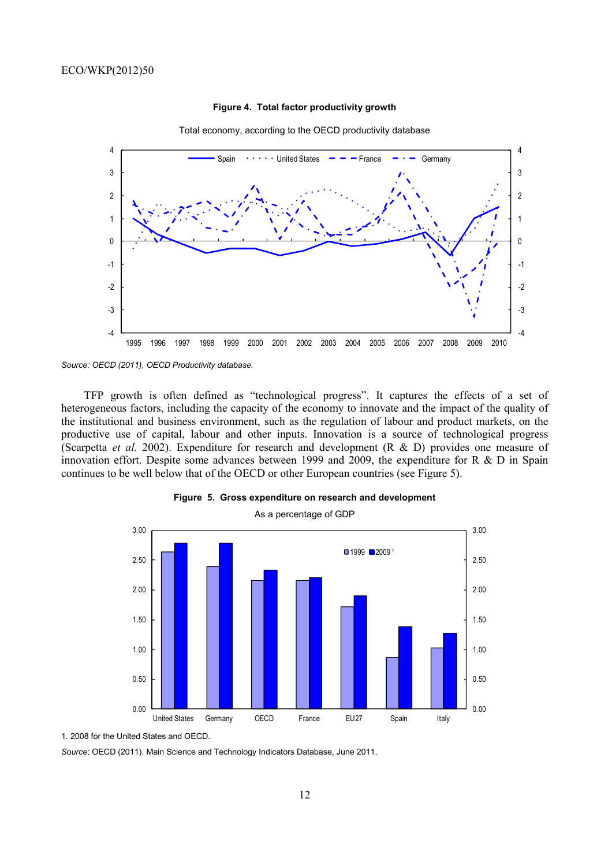

#### **Figure 4. Total factor productivity growth**



TFP growth is often defined as "technological progress". It captures the effects of a set of heterogeneous factors, including the capacity of the economy to innovate and the impact of the quality of the institutional and business environment, such as the regulation of labour and product markets, on the productive use of capital, labour and other inputs. Innovation is a source of technological progress (Scarpetta *et al.* 2002). Expenditure for research and development (R & D) provides one measure of innovation effort. Despite some advances between 1999 and 2009, the expenditure for R & D in Spain continues to be well below that of the OECD or other European countries (see Figure 5).



#### **Figure 5. Gross expenditure on research and development**

1. 2008 for the United States and OECD.

*Source*: OECD (2011). Main Science and Technology Indicators Database, June 2011.

*Source: OECD (2011), OECD Productivity database.*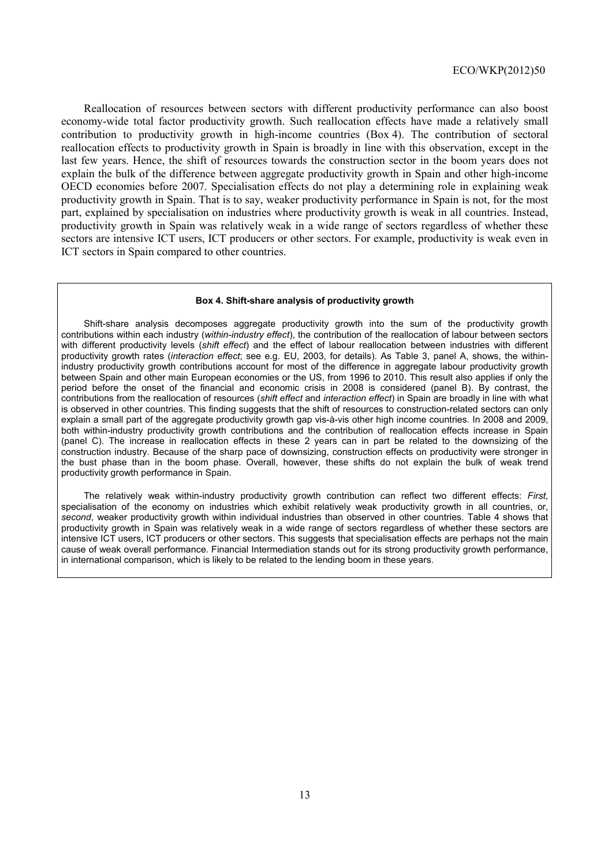Reallocation of resources between sectors with different productivity performance can also boost economy-wide total factor productivity growth. Such reallocation effects have made a relatively small contribution to productivity growth in high-income countries (Box 4). The contribution of sectoral reallocation effects to productivity growth in Spain is broadly in line with this observation, except in the last few years. Hence, the shift of resources towards the construction sector in the boom years does not explain the bulk of the difference between aggregate productivity growth in Spain and other high-income OECD economies before 2007. Specialisation effects do not play a determining role in explaining weak productivity growth in Spain. That is to say, weaker productivity performance in Spain is not, for the most part, explained by specialisation on industries where productivity growth is weak in all countries. Instead, productivity growth in Spain was relatively weak in a wide range of sectors regardless of whether these sectors are intensive ICT users, ICT producers or other sectors. For example, productivity is weak even in ICT sectors in Spain compared to other countries.

#### **Box 4. Shift-share analysis of productivity growth**

Shift-share analysis decomposes aggregate productivity growth into the sum of the productivity growth contributions within each industry (*within-industry effect*), the contribution of the reallocation of labour between sectors with different productivity levels (*shift effect*) and the effect of labour reallocation between industries with different productivity growth rates (*interaction effect*; see e.g. EU, 2003, for details). As Table 3, panel A, shows, the withinindustry productivity growth contributions account for most of the difference in aggregate labour productivity growth between Spain and other main European economies or the US, from 1996 to 2010. This result also applies if only the period before the onset of the financial and economic crisis in 2008 is considered (panel B). By contrast, the contributions from the reallocation of resources (*shift effect* and *interaction effect*) in Spain are broadly in line with what is observed in other countries. This finding suggests that the shift of resources to construction-related sectors can only explain a small part of the aggregate productivity growth gap vis-à-vis other high income countries. In 2008 and 2009, both within-industry productivity growth contributions and the contribution of reallocation effects increase in Spain (panel C). The increase in reallocation effects in these 2 years can in part be related to the downsizing of the construction industry. Because of the sharp pace of downsizing, construction effects on productivity were stronger in the bust phase than in the boom phase. Overall, however, these shifts do not explain the bulk of weak trend productivity growth performance in Spain.

The relatively weak within-industry productivity growth contribution can reflect two different effects: *First*, specialisation of the economy on industries which exhibit relatively weak productivity growth in all countries, or, *second*, weaker productivity growth within individual industries than observed in other countries. Table 4 shows that productivity growth in Spain was relatively weak in a wide range of sectors regardless of whether these sectors are intensive ICT users, ICT producers or other sectors. This suggests that specialisation effects are perhaps not the main cause of weak overall performance. Financial Intermediation stands out for its strong productivity growth performance, in international comparison, which is likely to be related to the lending boom in these years.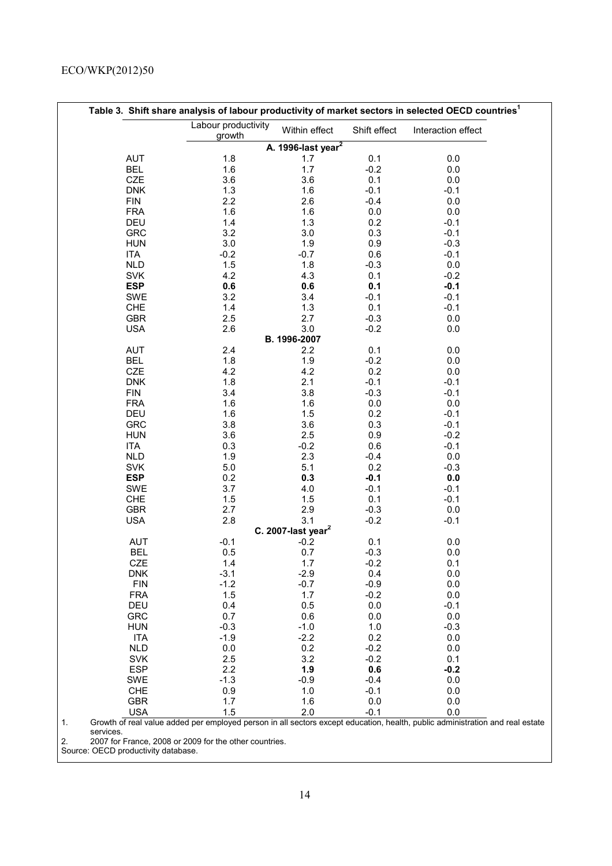|            |                               |                                |              | Table 3. Shift share analysis of labour productivity of market sectors in selected OECD countries <sup>1</sup> |
|------------|-------------------------------|--------------------------------|--------------|----------------------------------------------------------------------------------------------------------------|
|            | Labour productivity<br>growth | Within effect                  | Shift effect | Interaction effect                                                                                             |
|            |                               | A. 1996-last year <sup>2</sup> |              |                                                                                                                |
| <b>AUT</b> | 1.8                           | 1.7                            | 0.1          | 0.0                                                                                                            |
| <b>BEL</b> | 1.6                           | 1.7                            | $-0.2$       | 0.0                                                                                                            |
| CZE        | 3.6                           | 3.6                            | 0.1          | 0.0                                                                                                            |
| <b>DNK</b> | 1.3                           | 1.6                            | $-0.1$       | $-0.1$                                                                                                         |
| <b>FIN</b> | 2.2                           | 2.6                            | $-0.4$       | 0.0                                                                                                            |
| <b>FRA</b> | 1.6                           | 1.6                            | 0.0          | 0.0                                                                                                            |
| <b>DEU</b> | 1.4                           | 1.3                            | 0.2          | $-0.1$                                                                                                         |
| <b>GRC</b> | 3.2                           | 3.0                            | 0.3          | $-0.1$                                                                                                         |
| <b>HUN</b> | 3.0                           | 1.9                            | 0.9          | $-0.3$                                                                                                         |
| <b>ITA</b> | $-0.2$                        | $-0.7$                         | 0.6          | $-0.1$                                                                                                         |
| <b>NLD</b> | 1.5                           | 1.8                            | $-0.3$       | 0.0                                                                                                            |
| <b>SVK</b> | 4.2                           | 4.3                            | 0.1          | $-0.2$                                                                                                         |
| <b>ESP</b> | 0.6                           | 0.6                            | 0.1          | $-0.1$                                                                                                         |
| <b>SWE</b> | 3.2                           | 3.4                            | $-0.1$       | $-0.1$                                                                                                         |
| CHE        | 1.4                           | 1.3                            | 0.1          | $-0.1$                                                                                                         |
| <b>GBR</b> | 2.5                           | 2.7                            | $-0.3$       | 0.0                                                                                                            |
| <b>USA</b> | 2.6                           | 3.0                            | $-0.2$       | 0.0                                                                                                            |
|            |                               | B. 1996-2007                   |              |                                                                                                                |
| <b>AUT</b> | 2.4                           | 2.2                            | 0.1          | 0.0                                                                                                            |
| <b>BEL</b> | 1.8                           | 1.9                            | $-0.2$       | 0.0                                                                                                            |
| CZE        | 4.2                           | 4.2                            | 0.2          | 0.0                                                                                                            |
| <b>DNK</b> | 1.8                           | 2.1                            | $-0.1$       | $-0.1$                                                                                                         |
| <b>FIN</b> | 3.4                           | 3.8                            | $-0.3$       | $-0.1$                                                                                                         |
| <b>FRA</b> | 1.6                           | 1.6                            | 0.0          | 0.0                                                                                                            |
| DEU        | 1.6                           | 1.5                            | 0.2          | $-0.1$                                                                                                         |
| <b>GRC</b> | 3.8                           | 3.6                            | 0.3          | $-0.1$                                                                                                         |
| <b>HUN</b> | 3.6                           | 2.5                            | 0.9          | $-0.2$                                                                                                         |
| <b>ITA</b> | 0.3                           | $-0.2$                         | 0.6          | $-0.1$                                                                                                         |
| <b>NLD</b> | 1.9                           | 2.3                            | $-0.4$       | 0.0                                                                                                            |
| <b>SVK</b> | 5.0                           | 5.1                            | 0.2          | $-0.3$                                                                                                         |
| <b>ESP</b> | 0.2                           | 0.3                            | $-0.1$       | 0.0                                                                                                            |
| <b>SWE</b> | 3.7                           | 4.0                            | $-0.1$       | $-0.1$                                                                                                         |
| CHE        | 1.5                           | 1.5                            | 0.1          | $-0.1$                                                                                                         |
| <b>GBR</b> | 2.7                           | 2.9                            | $-0.3$       | 0.0                                                                                                            |
| <b>USA</b> | 2.8                           | 3.1                            | $-0.2$       | $-0.1$                                                                                                         |
|            |                               | C. 2007-last year $^2$         |              |                                                                                                                |
| <b>AUT</b> | $-0.1$                        | $-0.2$                         | 0.1          | 0.0                                                                                                            |
| <b>BEL</b> | 0.5                           | 0.7                            | $-0.3$       | 0.0                                                                                                            |
| <b>CZE</b> | 1.4                           | 1.7                            | $-0.2$       | 0.1                                                                                                            |
| <b>DNK</b> | $-3.1$                        | $-2.9$                         | 0.4          | 0.0                                                                                                            |
| <b>FIN</b> | $-1.2$                        | $-0.7$                         | $-0.9$       | 0.0                                                                                                            |
| <b>FRA</b> | 1.5                           | 1.7                            | $-0.2$       | 0.0                                                                                                            |
| DEU        | 0.4                           | 0.5                            | 0.0          | $-0.1$                                                                                                         |
| <b>GRC</b> | 0.7                           | 0.6                            | 0.0          | 0.0                                                                                                            |
| <b>HUN</b> | $-0.3$                        | $-1.0$                         | 1.0          | $-0.3$                                                                                                         |
| <b>ITA</b> | $-1.9$                        | $-2.2$                         | 0.2          | 0.0                                                                                                            |
| <b>NLD</b> | 0.0                           | 0.2                            | $-0.2$       | 0.0                                                                                                            |
| <b>SVK</b> | 2.5                           | 3.2                            | $-0.2$       | 0.1                                                                                                            |
| <b>ESP</b> | 2.2                           | 1.9                            | 0.6          | $-0.2$                                                                                                         |
| <b>SWE</b> | $-1.3$                        | $-0.9$                         | $-0.4$       | 0.0                                                                                                            |
| <b>CHE</b> | 0.9                           | 1.0                            | $-0.1$       | 0.0                                                                                                            |
| <b>GBR</b> | 1.7                           | 1.6                            | 0.0          | 0.0                                                                                                            |
| <b>USA</b> | 1.5                           | 2.0                            | $-0.1$       | 0.0                                                                                                            |

2. 2007 for France, 2008 or 2009 for the other countries.

Source: OECD productivity database.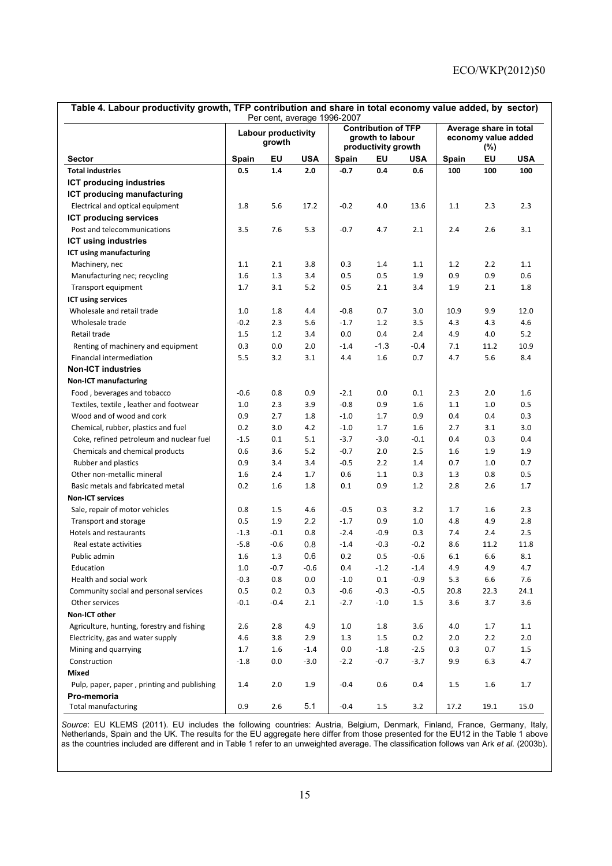| Table 4. Labour productivity growth, TFP contribution and share in total economy value added, by sector)<br>Per cent, average 1996-2007 |                               |        |            |        |                                                                       |        |       |                                               |            |
|-----------------------------------------------------------------------------------------------------------------------------------------|-------------------------------|--------|------------|--------|-----------------------------------------------------------------------|--------|-------|-----------------------------------------------|------------|
|                                                                                                                                         | Labour productivity<br>growth |        |            |        | <b>Contribution of TFP</b><br>growth to labour<br>productivity growth |        |       | Average share in total<br>economy value added |            |
| <b>Sector</b>                                                                                                                           | Spain                         | EU     | <b>USA</b> | Spain  | ΕU                                                                    | USA    | Spain | $(\%)$<br>EU                                  | <b>USA</b> |
| <b>Total industries</b>                                                                                                                 | 0.5                           | 1.4    | 2.0        | $-0.7$ | 0.4                                                                   | 0.6    | 100   | 100                                           | 100        |
| ICT producing industries                                                                                                                |                               |        |            |        |                                                                       |        |       |                                               |            |
| ICT producing manufacturing                                                                                                             |                               |        |            |        |                                                                       |        |       |                                               |            |
| Electrical and optical equipment                                                                                                        | 1.8                           | 5.6    | 17.2       | $-0.2$ | 4.0                                                                   | 13.6   | 1.1   | 2.3                                           | 2.3        |
| <b>ICT producing services</b>                                                                                                           |                               |        |            |        |                                                                       |        |       |                                               |            |
| Post and telecommunications                                                                                                             | 3.5                           | 7.6    | 5.3        | $-0.7$ | 4.7                                                                   | 2.1    | 2.4   | 2.6                                           | 3.1        |
| <b>ICT using industries</b>                                                                                                             |                               |        |            |        |                                                                       |        |       |                                               |            |
| ICT using manufacturing                                                                                                                 |                               |        |            |        |                                                                       |        |       |                                               |            |
| Machinery, nec                                                                                                                          | 1.1                           | 2.1    | 3.8        | 0.3    | 1.4                                                                   | 1.1    | 1.2   | 2.2                                           | 1.1        |
| Manufacturing nec; recycling                                                                                                            | 1.6                           | 1.3    | 3.4        | 0.5    | 0.5                                                                   | 1.9    | 0.9   | 0.9                                           | 0.6        |
| Transport equipment                                                                                                                     | 1.7                           | 3.1    | 5.2        | 0.5    | 2.1                                                                   | 3.4    | 1.9   | 2.1                                           | 1.8        |
| ICT using services                                                                                                                      |                               |        |            |        |                                                                       |        |       |                                               |            |
| Wholesale and retail trade                                                                                                              | 1.0                           | 1.8    | 4.4        | $-0.8$ | 0.7                                                                   | 3.0    | 10.9  | 9.9                                           | 12.0       |
| Wholesale trade                                                                                                                         | $-0.2$                        | 2.3    | 5.6        | $-1.7$ | $1.2$                                                                 | 3.5    | 4.3   | 4.3                                           | 4.6        |
| Retail trade                                                                                                                            | 1.5                           | 1.2    | 3.4        | 0.0    | 0.4                                                                   | 2.4    | 4.9   | 4.0                                           | 5.2        |
| Renting of machinery and equipment                                                                                                      | 0.3                           | 0.0    | 2.0        | $-1.4$ | $-1.3$                                                                | $-0.4$ | 7.1   | 11.2                                          | 10.9       |
| Financial intermediation                                                                                                                | 5.5                           | 3.2    | 3.1        | 4.4    | 1.6                                                                   | 0.7    | 4.7   | 5.6                                           | 8.4        |
| <b>Non-ICT industries</b>                                                                                                               |                               |        |            |        |                                                                       |        |       |                                               |            |
| <b>Non-ICT manufacturing</b>                                                                                                            |                               |        |            |        |                                                                       |        |       |                                               |            |
| Food, beverages and tobacco                                                                                                             | $-0.6$                        | 0.8    | 0.9        | $-2.1$ | 0.0                                                                   | 0.1    | 2.3   | 2.0                                           | 1.6        |
| Textiles, textile, leather and footwear                                                                                                 | 1.0                           | 2.3    | 3.9        | $-0.8$ | 0.9                                                                   | 1.6    | 1.1   | 1.0                                           | 0.5        |
| Wood and of wood and cork                                                                                                               | 0.9                           | 2.7    | 1.8        | $-1.0$ | 1.7                                                                   | 0.9    | 0.4   | 0.4                                           | 0.3        |
| Chemical, rubber, plastics and fuel                                                                                                     | 0.2                           | 3.0    | 4.2        | $-1.0$ | 1.7                                                                   | 1.6    | 2.7   | 3.1                                           | 3.0        |
| Coke, refined petroleum and nuclear fuel                                                                                                | $-1.5$                        | 0.1    | 5.1        | $-3.7$ | $-3.0$                                                                | $-0.1$ | 0.4   | 0.3                                           | 0.4        |
| Chemicals and chemical products                                                                                                         | 0.6                           | 3.6    | 5.2        | $-0.7$ | 2.0                                                                   | 2.5    | 1.6   | 1.9                                           | 1.9        |
| Rubber and plastics                                                                                                                     | 0.9                           | 3.4    | 3.4        | $-0.5$ | 2.2                                                                   | 1.4    | 0.7   | 1.0                                           | 0.7        |
| Other non-metallic mineral                                                                                                              | 1.6                           | 2.4    | 1.7        | 0.6    | 1.1                                                                   | 0.3    | 1.3   | 0.8                                           | 0.5        |
| Basic metals and fabricated metal                                                                                                       | 0.2                           | 1.6    | 1.8        | 0.1    | 0.9                                                                   | 1.2    | 2.8   | 2.6                                           | 1.7        |
| <b>Non-ICT services</b>                                                                                                                 |                               |        |            |        |                                                                       |        |       |                                               |            |
| Sale, repair of motor vehicles                                                                                                          | 0.8                           | 1.5    | 4.6        | $-0.5$ | 0.3                                                                   | 3.2    | 1.7   | 1.6                                           | 2.3        |
| Transport and storage                                                                                                                   | 0.5                           | 1.9    | 2.2        | $-1.7$ | 0.9                                                                   | 1.0    | 4.8   | 4.9                                           | 2.8        |
| Hotels and restaurants                                                                                                                  | $-1.3$                        | $-0.1$ | 0.8        | $-2.4$ | $-0.9$                                                                | 0.3    | 7.4   | 2.4                                           | 2.5        |
| Real estate activities                                                                                                                  | $-5.8$                        | $-0.6$ | 0.8        | $-1.4$ | $-0.3$                                                                | $-0.2$ | 8.6   | 11.2                                          | 11.8       |
| Public admin                                                                                                                            | 1.6                           | 1.3    | 0.6        | 0.2    | 0.5                                                                   | $-0.6$ | 6.1   | 6.6                                           | 8.1        |
| Education                                                                                                                               | 1.0                           | $-0.7$ | $-0.6$     | 0.4    | $-1.2$                                                                | $-1.4$ | 4.9   | 4.9                                           | 4.7        |
| Health and social work                                                                                                                  | $-0.3$                        | 0.8    | 0.0        | $-1.0$ | 0.1                                                                   | $-0.9$ | 5.3   | 6.6                                           | 7.6        |
| Community social and personal services                                                                                                  | 0.5                           | 0.2    | 0.3        | $-0.6$ | $-0.3$                                                                | $-0.5$ | 20.8  | 22.3                                          | 24.1       |
| Other services                                                                                                                          | $-0.1$                        | $-0.4$ | 2.1        | $-2.7$ | $-1.0$                                                                | 1.5    | 3.6   | 3.7                                           | 3.6        |
| Non-ICT other                                                                                                                           |                               |        |            |        |                                                                       |        |       |                                               |            |
| Agriculture, hunting, forestry and fishing                                                                                              | 2.6                           | 2.8    | 4.9        | 1.0    | 1.8                                                                   | 3.6    | 4.0   | 1.7                                           | 1.1        |
| Electricity, gas and water supply                                                                                                       | 4.6                           | 3.8    | 2.9        | 1.3    | 1.5                                                                   | 0.2    | 2.0   | 2.2                                           | 2.0        |
| Mining and quarrying                                                                                                                    | 1.7                           | 1.6    | $-1.4$     | 0.0    | $-1.8$                                                                | $-2.5$ | 0.3   | 0.7                                           | 1.5        |
| Construction                                                                                                                            | $-1.8$                        | 0.0    | $-3.0$     | $-2.2$ | $-0.7$                                                                | $-3.7$ | 9.9   | 6.3                                           | 4.7        |
| Mixed                                                                                                                                   |                               |        |            |        |                                                                       |        |       |                                               |            |
| Pulp, paper, paper, printing and publishing                                                                                             | 1.4                           | 2.0    | 1.9        | $-0.4$ | 0.6                                                                   | 0.4    | 1.5   | 1.6                                           | $1.7\,$    |
| Pro-memoria<br><b>Total manufacturing</b>                                                                                               | 0.9                           | 2.6    | 5.1        | $-0.4$ | 1.5                                                                   | 3.2    | 17.2  | 19.1                                          | 15.0       |
|                                                                                                                                         |                               |        |            |        |                                                                       |        |       |                                               |            |

*Source*: EU KLEMS (2011). EU includes the following countries: Austria, Belgium, Denmark, Finland, France, Germany, Italy, Netherlands, Spain and the UK. The results for the EU aggregate here differ from those presented for the EU12 in the Table 1 above as the countries included are different and in Table 1 refer to an unweighted average. The classification follows van Ark *et al.* (2003b).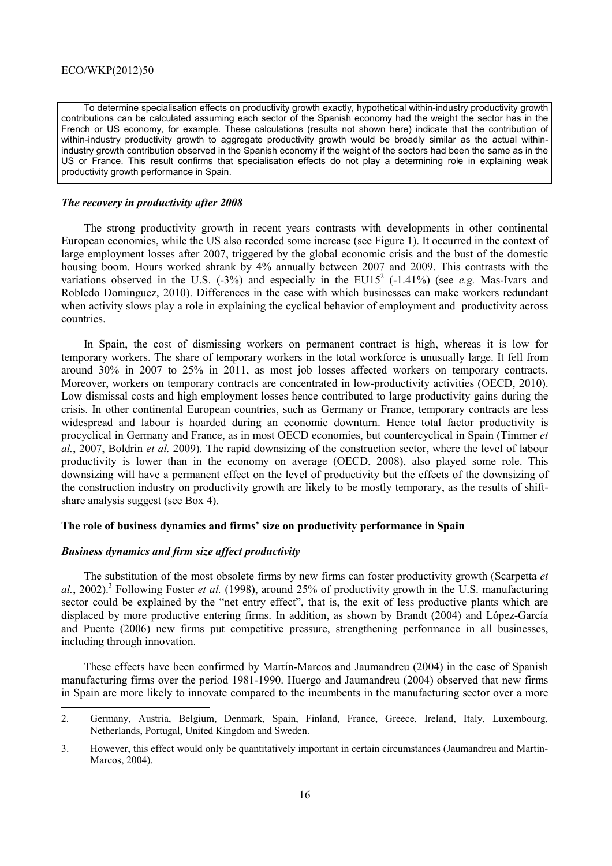To determine specialisation effects on productivity growth exactly, hypothetical within-industry productivity growth contributions can be calculated assuming each sector of the Spanish economy had the weight the sector has in the French or US economy, for example. These calculations (results not shown here) indicate that the contribution of within-industry productivity growth to aggregate productivity growth would be broadly similar as the actual withinindustry growth contribution observed in the Spanish economy if the weight of the sectors had been the same as in the US or France. This result confirms that specialisation effects do not play a determining role in explaining weak productivity growth performance in Spain.

#### *The recovery in productivity after 2008*

The strong productivity growth in recent years contrasts with developments in other continental European economies, while the US also recorded some increase (see Figure 1). It occurred in the context of large employment losses after 2007, triggered by the global economic crisis and the bust of the domestic housing boom. Hours worked shrank by 4% annually between 2007 and 2009. This contrasts with the variations observed in the U.S.  $(-3\%)$  and especially in the EU15<sup>2</sup>  $(-1.41\%)$  (see *e.g.* Mas-Ivars and Robledo Dominguez, 2010). Differences in the ease with which businesses can make workers redundant when activity slows play a role in explaining the cyclical behavior of employment and productivity across countries.

In Spain, the cost of dismissing workers on permanent contract is high, whereas it is low for temporary workers. The share of temporary workers in the total workforce is unusually large. It fell from around 30% in 2007 to 25% in 2011, as most job losses affected workers on temporary contracts. Moreover, workers on temporary contracts are concentrated in low-productivity activities (OECD, 2010). Low dismissal costs and high employment losses hence contributed to large productivity gains during the crisis. In other continental European countries, such as Germany or France, temporary contracts are less widespread and labour is hoarded during an economic downturn. Hence total factor productivity is procyclical in Germany and France, as in most OECD economies, but countercyclical in Spain (Timmer *et al.*, 2007, Boldrin *et al.* 2009). The rapid downsizing of the construction sector, where the level of labour productivity is lower than in the economy on average (OECD, 2008), also played some role. This downsizing will have a permanent effect on the level of productivity but the effects of the downsizing of the construction industry on productivity growth are likely to be mostly temporary, as the results of shiftshare analysis suggest (see Box 4).

# **The role of business dynamics and firms' size on productivity performance in Spain**

## *Business dynamics and firm size affect productivity*

The substitution of the most obsolete firms by new firms can foster productivity growth (Scarpetta *et*  al., 2002).<sup>3</sup> Following Foster *et al.* (1998), around 25% of productivity growth in the U.S. manufacturing sector could be explained by the "net entry effect", that is, the exit of less productive plants which are displaced by more productive entering firms. In addition, as shown by Brandt (2004) and López-García and Puente (2006) new firms put competitive pressure, strengthening performance in all businesses, including through innovation.

These effects have been confirmed by Martín-Marcos and Jaumandreu (2004) in the case of Spanish manufacturing firms over the period 1981-1990. Huergo and Jaumandreu (2004) observed that new firms in Spain are more likely to innovate compared to the incumbents in the manufacturing sector over a more

<sup>2.</sup> Germany, Austria, Belgium, Denmark, Spain, Finland, France, Greece, Ireland, Italy, Luxembourg, Netherlands, Portugal, United Kingdom and Sweden.

<sup>3.</sup> However, this effect would only be quantitatively important in certain circumstances (Jaumandreu and Martín-Marcos, 2004).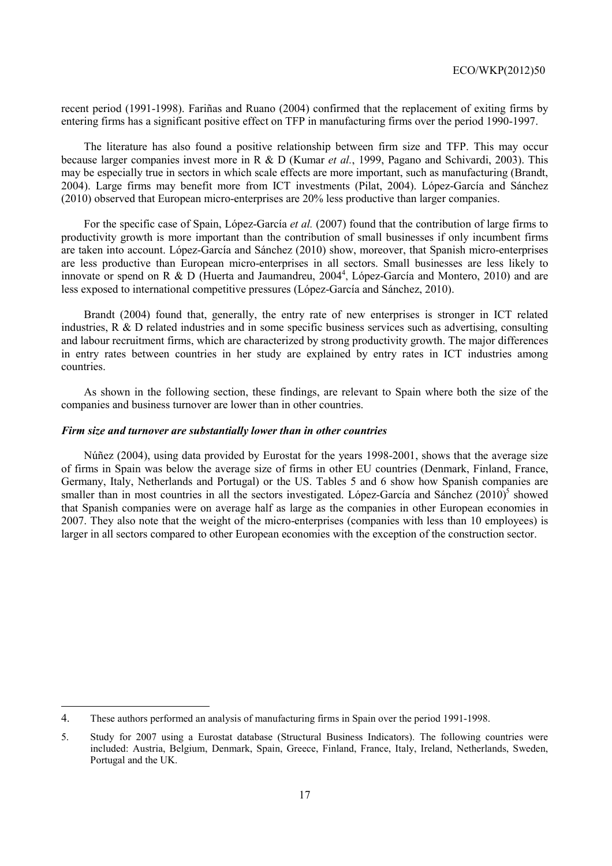recent period (1991-1998). Fariñas and Ruano (2004) confirmed that the replacement of exiting firms by entering firms has a significant positive effect on TFP in manufacturing firms over the period 1990-1997.

The literature has also found a positive relationship between firm size and TFP. This may occur because larger companies invest more in R & D (Kumar *et al.*, 1999, Pagano and Schivardi, 2003). This may be especially true in sectors in which scale effects are more important, such as manufacturing (Brandt, 2004). Large firms may benefit more from ICT investments (Pilat, 2004). López-García and Sánchez (2010) observed that European micro-enterprises are 20% less productive than larger companies.

For the specific case of Spain, López-García *et al.* (2007) found that the contribution of large firms to productivity growth is more important than the contribution of small businesses if only incumbent firms are taken into account. López-García and Sánchez (2010) show, moreover, that Spanish micro-enterprises are less productive than European micro-enterprises in all sectors. Small businesses are less likely to innovate or spend on R & D (Huerta and Jaumandreu, 2004<sup>4</sup>, López-García and Montero, 2010) and are less exposed to international competitive pressures (López-García and Sánchez, 2010).

Brandt (2004) found that, generally, the entry rate of new enterprises is stronger in ICT related industries, R & D related industries and in some specific business services such as advertising, consulting and labour recruitment firms, which are characterized by strong productivity growth. The major differences in entry rates between countries in her study are explained by entry rates in ICT industries among countries.

As shown in the following section, these findings, are relevant to Spain where both the size of the companies and business turnover are lower than in other countries.

#### *Firm size and turnover are substantially lower than in other countries*

Núñez (2004), using data provided by Eurostat for the years 1998-2001, shows that the average size of firms in Spain was below the average size of firms in other EU countries (Denmark, Finland, France, Germany, Italy, Netherlands and Portugal) or the US. Tables 5 and 6 show how Spanish companies are smaller than in most countries in all the sectors investigated. López-García and Sánchez  $(2010)^5$  showed that Spanish companies were on average half as large as the companies in other European economies in 2007. They also note that the weight of the micro-enterprises (companies with less than 10 employees) is larger in all sectors compared to other European economies with the exception of the construction sector.

<sup>4.</sup> These authors performed an analysis of manufacturing firms in Spain over the period 1991-1998.

<sup>5.</sup> Study for 2007 using a Eurostat database (Structural Business Indicators). The following countries were included: Austria, Belgium, Denmark, Spain, Greece, Finland, France, Italy, Ireland, Netherlands, Sweden, Portugal and the UK.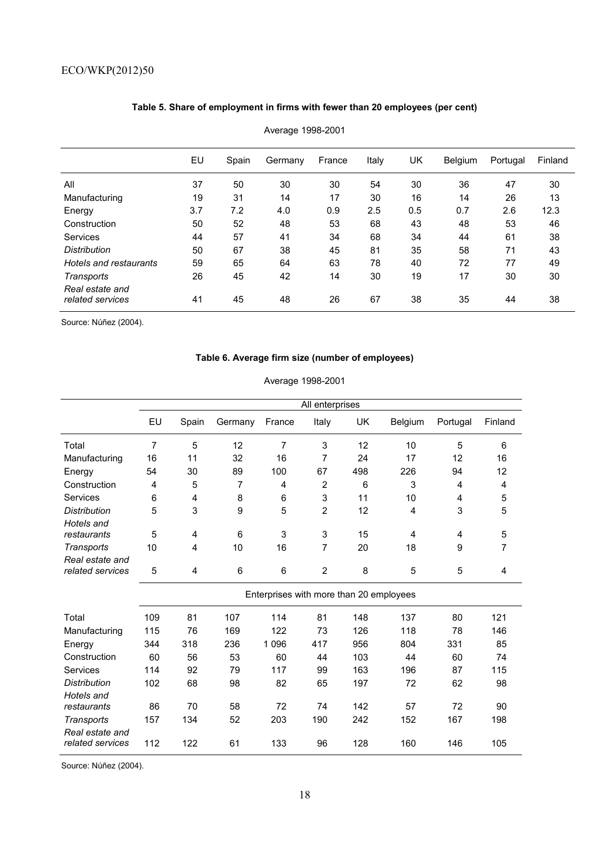# **Table 5. Share of employment in firms with fewer than 20 employees (per cent)**

|                        | EU  | Spain | Germany | France | Italy | UK  | <b>Belgium</b> | Portugal | Finland |
|------------------------|-----|-------|---------|--------|-------|-----|----------------|----------|---------|
| All                    | 37  | 50    | 30      | 30     | 54    | 30  | 36             | 47       | 30      |
| Manufacturing          | 19  | 31    | 14      | 17     | 30    | 16  | 14             | 26       | 13      |
| Energy                 | 3.7 | 7.2   | 4.0     | 0.9    | 2.5   | 0.5 | 0.7            | 2.6      | 12.3    |
| Construction           | 50  | 52    | 48      | 53     | 68    | 43  | 48             | 53       | 46      |
| Services               | 44  | 57    | 41      | 34     | 68    | 34  | 44             | 61       | 38      |
| <b>Distribution</b>    | 50  | 67    | 38      | 45     | 81    | 35  | 58             | 71       | 43      |
| Hotels and restaurants | 59  | 65    | 64      | 63     | 78    | 40  | 72             | 77       | 49      |
| Transports             | 26  | 45    | 42      | 14     | 30    | 19  | 17             | 30       | 30      |
| Real estate and        |     |       |         |        |       |     |                |          |         |
| related services       | 41  | 45    | 48      | 26     | 67    | 38  | 35             | 44       | 38      |

Average 1998-2001

Source: Núñez (2004).

# **Table 6. Average firm size (number of employees)**

# Average 1998-2001

|                                     |                |                |         |                                         | All enterprises |           |         |          |         |
|-------------------------------------|----------------|----------------|---------|-----------------------------------------|-----------------|-----------|---------|----------|---------|
|                                     | EU             | Spain          | Germany | France                                  | Italy           | <b>UK</b> | Belgium | Portugal | Finland |
| Total                               | $\overline{7}$ | 5              | 12      | $\overline{7}$                          | 3               | 12        | 10      | 5        | 6       |
| Manufacturing                       | 16             | 11             | 32      | 16                                      | 7               | 24        | 17      | 12       | 16      |
| Energy                              | 54             | 30             | 89      | 100                                     | 67              | 498       | 226     | 94       | 12      |
| Construction                        | 4              | 5              | 7       | 4                                       | $\overline{2}$  | 6         | 3       | 4        | 4       |
| Services                            | 6              | 4              | 8       | 6                                       | 3               | 11        | 10      | 4        | 5       |
| <b>Distribution</b>                 | 5              | 3              | 9       | 5                                       | $\overline{2}$  | 12        | 4       | 3        | 5       |
| Hotels and                          |                |                |         |                                         |                 |           |         |          |         |
| restaurants                         | 5              | $\overline{4}$ | 6       | 3                                       | 3               | 15        | 4       | 4        | 5       |
| Transports                          | 10             | 4              | 10      | 16                                      | 7               | 20        | 18      | 9        | 7       |
| Real estate and                     |                |                |         |                                         |                 |           |         |          |         |
| related services                    | 5              | 4              | 6       | 6                                       | $\overline{2}$  | 8         | 5       | 5        | 4       |
|                                     |                |                |         | Enterprises with more than 20 employees |                 |           |         |          |         |
| Total                               | 109            | 81             | 107     | 114                                     | 81              | 148       | 137     | 80       | 121     |
| Manufacturing                       | 115            | 76             | 169     | 122                                     | 73              | 126       | 118     | 78       | 146     |
| Energy                              | 344            | 318            | 236     | 1 0 9 6                                 | 417             | 956       | 804     | 331      | 85      |
| Construction                        | 60             | 56             | 53      | 60                                      | 44              | 103       | 44      | 60       | 74      |
| Services                            | 114            | 92             | 79      | 117                                     | 99              | 163       | 196     | 87       | 115     |
| <b>Distribution</b>                 | 102            | 68             | 98      | 82                                      | 65              | 197       | 72      | 62       | 98      |
| Hotels and                          |                |                |         |                                         |                 |           |         |          |         |
| restaurants                         | 86             | 70             | 58      | 72                                      | 74              | 142       | 57      | 72       | 90      |
| Transports                          | 157            | 134            | 52      | 203                                     | 190             | 242       | 152     | 167      | 198     |
| Real estate and<br>related services | 112            | 122            | 61      | 133                                     | 96              | 128       | 160     | 146      | 105     |

Source: Núñez (2004).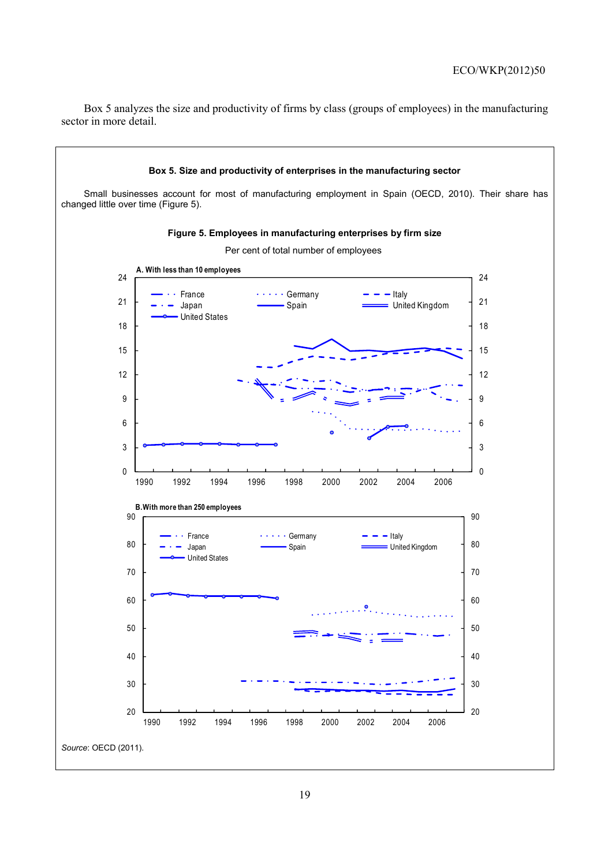Box 5 analyzes the size and productivity of firms by class (groups of employees) in the manufacturing sector in more detail.

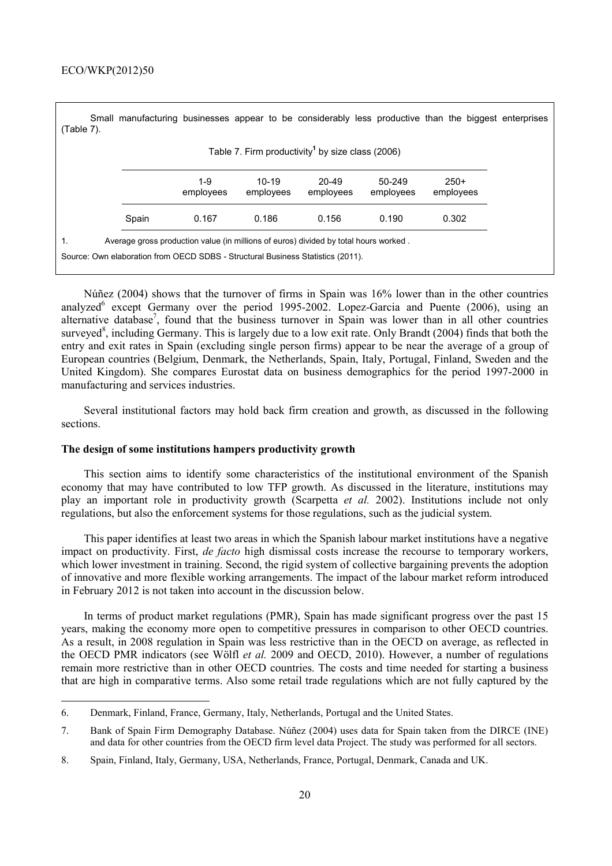| $(Table 7)$ . |       |                  |                                                                                                                                                                         |                        |                     | Small manufacturing businesses appear to be considerably less productive than the biggest enterprises |  |
|---------------|-------|------------------|-------------------------------------------------------------------------------------------------------------------------------------------------------------------------|------------------------|---------------------|-------------------------------------------------------------------------------------------------------|--|
|               |       |                  | Table 7. Firm productivity <sup>1</sup> by size class (2006)                                                                                                            |                        |                     |                                                                                                       |  |
|               |       | 1-9<br>employees | $10-19$<br>employees                                                                                                                                                    | $20 - 49$<br>employees | 50-249<br>employees | $250+$<br>employees                                                                                   |  |
|               | Spain | 0.167            | 0.186                                                                                                                                                                   | 0.156                  | 0.190               | 0.302                                                                                                 |  |
| 1.            |       |                  | Average gross production value (in millions of euros) divided by total hours worked.<br>Source: Own elaboration from OECD SDBS - Structural Business Statistics (2011). |                        |                     |                                                                                                       |  |

Núñez (2004) shows that the turnover of firms in Spain was 16% lower than in the other countries analyzed<sup>6</sup> except Germany over the period 1995-2002. Lopez-Garcia and Puente (2006), using an alternative database<sup>7</sup>, found that the business turnover in Spain was lower than in all other countries surveyed<sup>8</sup>, including Germany. This is largely due to a low exit rate. Only Brandt (2004) finds that both the entry and exit rates in Spain (excluding single person firms) appear to be near the average of a group of European countries (Belgium, Denmark, the Netherlands, Spain, Italy, Portugal, Finland, Sweden and the United Kingdom). She compares Eurostat data on business demographics for the period 1997-2000 in manufacturing and services industries.

Several institutional factors may hold back firm creation and growth, as discussed in the following sections.

# **The design of some institutions hampers productivity growth**

This section aims to identify some characteristics of the institutional environment of the Spanish economy that may have contributed to low TFP growth. As discussed in the literature, institutions may play an important role in productivity growth (Scarpetta *et al.* 2002). Institutions include not only regulations, but also the enforcement systems for those regulations, such as the judicial system.

This paper identifies at least two areas in which the Spanish labour market institutions have a negative impact on productivity. First, *de facto* high dismissal costs increase the recourse to temporary workers, which lower investment in training. Second, the rigid system of collective bargaining prevents the adoption of innovative and more flexible working arrangements. The impact of the labour market reform introduced in February 2012 is not taken into account in the discussion below.

In terms of product market regulations (PMR), Spain has made significant progress over the past 15 years, making the economy more open to competitive pressures in comparison to other OECD countries. As a result, in 2008 regulation in Spain was less restrictive than in the OECD on average, as reflected in the OECD PMR indicators (see Wölfl *et al.* 2009 and OECD, 2010). However, a number of regulations remain more restrictive than in other OECD countries. The costs and time needed for starting a business that are high in comparative terms. Also some retail trade regulations which are not fully captured by the

<sup>6.</sup> Denmark, Finland, France, Germany, Italy, Netherlands, Portugal and the United States.

<sup>7.</sup> Bank of Spain Firm Demography Database. Núñez (2004) uses data for Spain taken from the DIRCE (INE) and data for other countries from the OECD firm level data Project. The study was performed for all sectors.

<sup>8.</sup> Spain, Finland, Italy, Germany, USA, Netherlands, France, Portugal, Denmark, Canada and UK.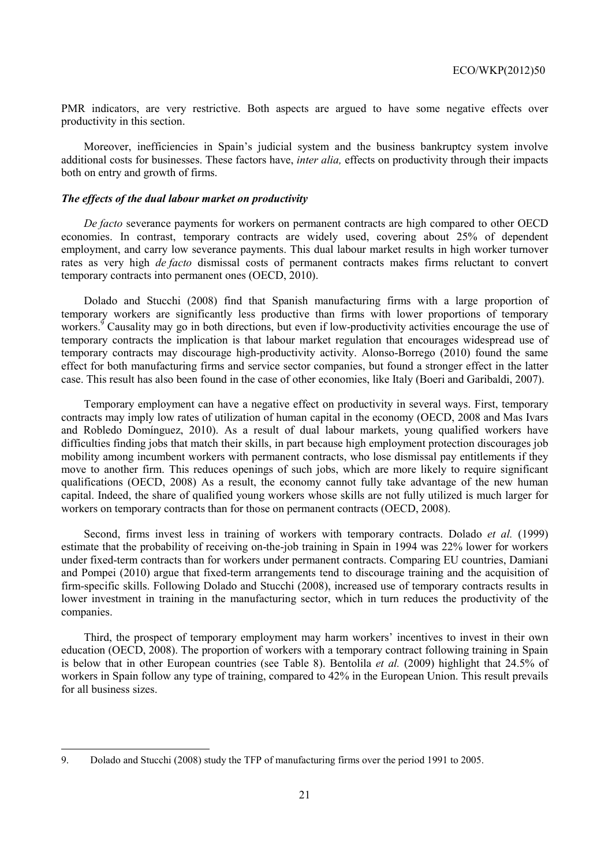PMR indicators, are very restrictive. Both aspects are argued to have some negative effects over productivity in this section.

Moreover, inefficiencies in Spain's judicial system and the business bankruptcy system involve additional costs for businesses. These factors have, *inter alia,* effects on productivity through their impacts both on entry and growth of firms.

#### *The effects of the dual labour market on productivity*

*De facto* severance payments for workers on permanent contracts are high compared to other OECD economies. In contrast, temporary contracts are widely used, covering about 25% of dependent employment, and carry low severance payments. This dual labour market results in high worker turnover rates as very high *de facto* dismissal costs of permanent contracts makes firms reluctant to convert temporary contracts into permanent ones (OECD, 2010).

Dolado and Stucchi (2008) find that Spanish manufacturing firms with a large proportion of temporary workers are significantly less productive than firms with lower proportions of temporary workers.<sup>9</sup> Causality may go in both directions, but even if low-productivity activities encourage the use of temporary contracts the implication is that labour market regulation that encourages widespread use of temporary contracts may discourage high-productivity activity. Alonso-Borrego (2010) found the same effect for both manufacturing firms and service sector companies, but found a stronger effect in the latter case. This result has also been found in the case of other economies, like Italy (Boeri and Garibaldi, 2007).

Temporary employment can have a negative effect on productivity in several ways. First, temporary contracts may imply low rates of utilization of human capital in the economy (OECD, 2008 and Mas Ivars and Robledo Domínguez, 2010). As a result of dual labour markets, young qualified workers have difficulties finding jobs that match their skills, in part because high employment protection discourages job mobility among incumbent workers with permanent contracts, who lose dismissal pay entitlements if they move to another firm. This reduces openings of such jobs, which are more likely to require significant qualifications (OECD, 2008) As a result, the economy cannot fully take advantage of the new human capital. Indeed, the share of qualified young workers whose skills are not fully utilized is much larger for workers on temporary contracts than for those on permanent contracts (OECD, 2008).

Second, firms invest less in training of workers with temporary contracts. Dolado *et al.* (1999) estimate that the probability of receiving on-the-job training in Spain in 1994 was 22% lower for workers under fixed-term contracts than for workers under permanent contracts. Comparing EU countries, Damiani and Pompei (2010) argue that fixed-term arrangements tend to discourage training and the acquisition of firm-specific skills. Following Dolado and Stucchi (2008), increased use of temporary contracts results in lower investment in training in the manufacturing sector, which in turn reduces the productivity of the companies.

Third, the prospect of temporary employment may harm workers' incentives to invest in their own education (OECD, 2008). The proportion of workers with a temporary contract following training in Spain is below that in other European countries (see Table 8). Bentolila *et al.* (2009) highlight that 24.5% of workers in Spain follow any type of training, compared to 42% in the European Union. This result prevails for all business sizes.

<sup>9.</sup> Dolado and Stucchi (2008) study the TFP of manufacturing firms over the period 1991 to 2005.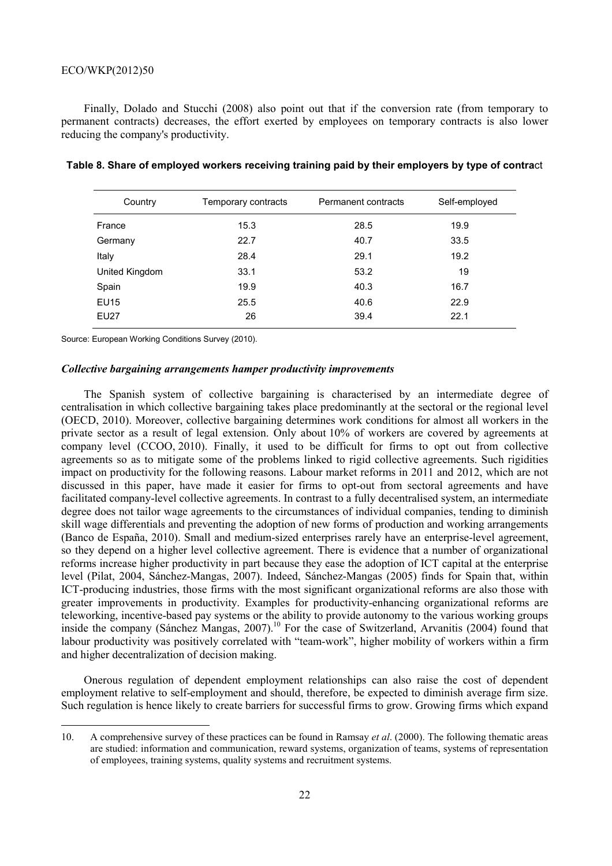Finally, Dolado and Stucchi (2008) also point out that if the conversion rate (from temporary to permanent contracts) decreases, the effort exerted by employees on temporary contracts is also lower reducing the company's productivity.

| Country        | Temporary contracts | Permanent contracts | Self-employed |
|----------------|---------------------|---------------------|---------------|
| France         | 15.3                | 28.5                | 19.9          |
| Germany        | 22.7                | 40.7                | 33.5          |
| Italy          | 28.4                | 29.1                | 19.2          |
| United Kingdom | 33.1                | 53.2                | 19            |
| Spain          | 19.9                | 40.3                | 16.7          |
| <b>EU15</b>    | 25.5                | 40.6                | 22.9          |
| EU27           | 26                  | 39.4                | 22.1          |

| Table 8. Share of employed workers receiving training paid by their employers by type of contract |  |  |
|---------------------------------------------------------------------------------------------------|--|--|
|---------------------------------------------------------------------------------------------------|--|--|

Source: European Working Conditions Survey (2010).

 $\overline{a}$ 

#### *Collective bargaining arrangements hamper productivity improvements*

The Spanish system of collective bargaining is characterised by an intermediate degree of centralisation in which collective bargaining takes place predominantly at the sectoral or the regional level (OECD, 2010). Moreover, collective bargaining determines work conditions for almost all workers in the private sector as a result of legal extension. Only about 10% of workers are covered by agreements at company level (CCOO, 2010). Finally, it used to be difficult for firms to opt out from collective agreements so as to mitigate some of the problems linked to rigid collective agreements. Such rigidities impact on productivity for the following reasons. Labour market reforms in 2011 and 2012, which are not discussed in this paper, have made it easier for firms to opt-out from sectoral agreements and have facilitated company-level collective agreements. In contrast to a fully decentralised system, an intermediate degree does not tailor wage agreements to the circumstances of individual companies, tending to diminish skill wage differentials and preventing the adoption of new forms of production and working arrangements (Banco de España, 2010). Small and medium-sized enterprises rarely have an enterprise-level agreement, so they depend on a higher level collective agreement. There is evidence that a number of organizational reforms increase higher productivity in part because they ease the adoption of ICT capital at the enterprise level (Pilat, 2004, Sánchez-Mangas, 2007). Indeed, Sánchez-Mangas (2005) finds for Spain that, within ICT-producing industries, those firms with the most significant organizational reforms are also those with greater improvements in productivity. Examples for productivity-enhancing organizational reforms are teleworking, incentive-based pay systems or the ability to provide autonomy to the various working groups inside the company (Sánchez Mangas, 2007).<sup>10</sup> For the case of Switzerland, Arvanitis (2004) found that labour productivity was positively correlated with "team-work", higher mobility of workers within a firm and higher decentralization of decision making.

Onerous regulation of dependent employment relationships can also raise the cost of dependent employment relative to self-employment and should, therefore, be expected to diminish average firm size. Such regulation is hence likely to create barriers for successful firms to grow. Growing firms which expand

<sup>10.</sup> A comprehensive survey of these practices can be found in Ramsay *et al*. (2000). The following thematic areas are studied: information and communication, reward systems, organization of teams, systems of representation of employees, training systems, quality systems and recruitment systems.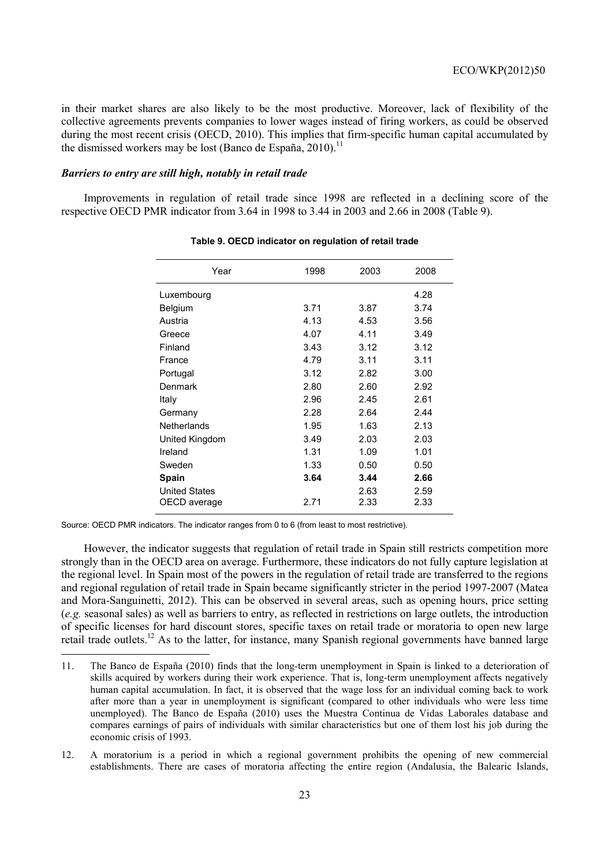in their market shares are also likely to be the most productive. Moreover, lack of flexibility of the collective agreements prevents companies to lower wages instead of firing workers, as could be observed during the most recent crisis (OECD, 2010). This implies that firm-specific human capital accumulated by the dismissed workers may be lost (Banco de España, 2010).<sup>11</sup>

## *Barriers to entry are still high, notably in retail trade*

Improvements in regulation of retail trade since 1998 are reflected in a declining score of the respective OECD PMR indicator from 3.64 in 1998 to 3.44 in 2003 and 2.66 in 2008 (Table 9).

| Year                 | 1998 | 2003 | 2008 |
|----------------------|------|------|------|
| Luxembourg           |      |      | 4.28 |
| <b>Belgium</b>       | 3.71 | 3.87 | 3.74 |
| Austria              | 4.13 | 4.53 | 3.56 |
| Greece               | 4.07 | 4.11 | 3.49 |
| Finland              | 3.43 | 3.12 | 3.12 |
| France               | 4.79 | 3.11 | 3.11 |
| Portugal             | 3.12 | 2.82 | 3.00 |
| Denmark              | 2.80 | 2.60 | 2.92 |
| Italy                | 2.96 | 2.45 | 2.61 |
| Germany              | 2.28 | 2.64 | 2.44 |
| <b>Netherlands</b>   | 1.95 | 1.63 | 2.13 |
| United Kingdom       | 3.49 | 2.03 | 2.03 |
| Ireland              | 1.31 | 1.09 | 1.01 |
| Sweden               | 1.33 | 0.50 | 0.50 |
| Spain                | 3.64 | 3.44 | 2.66 |
| <b>United States</b> |      | 2.63 | 2.59 |
| OECD average         | 2.71 | 2.33 | 2.33 |
|                      |      |      |      |

#### **Table 9. OECD indicator on regulation of retail trade**

Source: OECD PMR indicators. The indicator ranges from 0 to 6 (from least to most restrictive).

 $\overline{a}$ 

However, the indicator suggests that regulation of retail trade in Spain still restricts competition more strongly than in the OECD area on average. Furthermore, these indicators do not fully capture legislation at the regional level. In Spain most of the powers in the regulation of retail trade are transferred to the regions and regional regulation of retail trade in Spain became significantly stricter in the period 1997-2007 (Matea and Mora-Sanguinetti, 2012). This can be observed in several areas, such as opening hours, price setting (*e.g.* seasonal sales) as well as barriers to entry, as reflected in restrictions on large outlets, the introduction of specific licenses for hard discount stores, specific taxes on retail trade or moratoria to open new large retail trade outlets.<sup>12</sup> As to the latter, for instance, many Spanish regional governments have banned large

<sup>11.</sup> The Banco de España (2010) finds that the long-term unemployment in Spain is linked to a deterioration of skills acquired by workers during their work experience. That is, long-term unemployment affects negatively human capital accumulation. In fact, it is observed that the wage loss for an individual coming back to work after more than a year in unemployment is significant (compared to other individuals who were less time unemployed). The Banco de España (2010) uses the Muestra Continua de Vidas Laborales database and compares earnings of pairs of individuals with similar characteristics but one of them lost his job during the economic crisis of 1993.

<sup>12.</sup> A moratorium is a period in which a regional government prohibits the opening of new commercial establishments. There are cases of moratoria affecting the entire region (Andalusia, the Balearic Islands,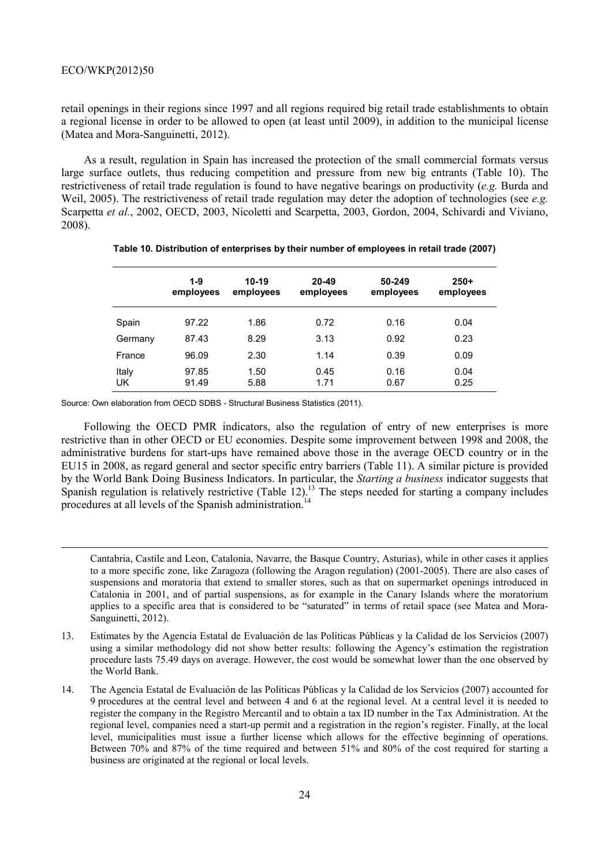1

retail openings in their regions since 1997 and all regions required big retail trade establishments to obtain a regional license in order to be allowed to open (at least until 2009), in addition to the municipal license (Matea and Mora-Sanguinetti, 2012).

As a result, regulation in Spain has increased the protection of the small commercial formats versus large surface outlets, thus reducing competition and pressure from new big entrants (Table 10). The restrictiveness of retail trade regulation is found to have negative bearings on productivity (*e.g.* Burda and Weil, 2005). The restrictiveness of retail trade regulation may deter the adoption of technologies (see *e.g.* Scarpetta *et al.*, 2002, OECD, 2003, Nicoletti and Scarpetta, 2003, Gordon, 2004, Schivardi and Viviano, 2008).

|             | 1-9<br>employees | $10 - 19$<br>employees | $20 - 49$<br>employees | 50-249<br>employees | $250+$<br>employees |
|-------------|------------------|------------------------|------------------------|---------------------|---------------------|
| Spain       | 97.22            | 1.86                   | 0.72                   | 0.16                | 0.04                |
| Germany     | 87.43            | 8.29                   | 3.13                   | 0.92                | 0.23                |
| France      | 96.09            | 2.30                   | 1.14                   | 0.39                | 0.09                |
| Italy<br>UK | 97.85<br>91.49   | 1.50<br>5.88           | 0.45<br>1.71           | 0.16<br>0.67        | 0.04<br>0.25        |

#### **Table 10. Distribution of enterprises by their number of employees in retail trade (2007)**

Source: Own elaboration from OECD SDBS - Structural Business Statistics (2011).

Following the OECD PMR indicators, also the regulation of entry of new enterprises is more restrictive than in other OECD or EU economies. Despite some improvement between 1998 and 2008, the administrative burdens for start-ups have remained above those in the average OECD country or in the EU15 in 2008, as regard general and sector specific entry barriers (Table 11). A similar picture is provided by the World Bank Doing Business Indicators. In particular, the *Starting a business* indicator suggests that Spanish regulation is relatively restrictive (Table  $12$ ).<sup>13</sup> The steps needed for starting a company includes procedures at all levels of the Spanish administration.<sup>14</sup>

Cantabria, Castile and Leon, Catalonia, Navarre, the Basque Country, Asturias), while in other cases it applies to a more specific zone, like Zaragoza (following the Aragon regulation) (2001-2005). There are also cases of suspensions and moratoria that extend to smaller stores, such as that on supermarket openings introduced in Catalonia in 2001, and of partial suspensions, as for example in the Canary Islands where the moratorium applies to a specific area that is considered to be "saturated" in terms of retail space (see Matea and Mora-Sanguinetti, 2012).

<sup>13.</sup> Estimates by the Agencia Estatal de Evaluación de las Políticas Públicas y la Calidad de los Servicios (2007) using a similar methodology did not show better results: following the Agency's estimation the registration procedure lasts 75.49 days on average. However, the cost would be somewhat lower than the one observed by the World Bank.

<sup>14.</sup> The Agencia Estatal de Evaluación de las Políticas Públicas y la Calidad de los Servicios (2007) accounted for 9 procedures at the central level and between 4 and 6 at the regional level. At a central level it is needed to register the company in the Registro Mercantil and to obtain a tax ID number in the Tax Administration. At the regional level, companies need a start-up permit and a registration in the region's register. Finally, at the local level, municipalities must issue a further license which allows for the effective beginning of operations. Between 70% and 87% of the time required and between 51% and 80% of the cost required for starting a business are originated at the regional or local levels.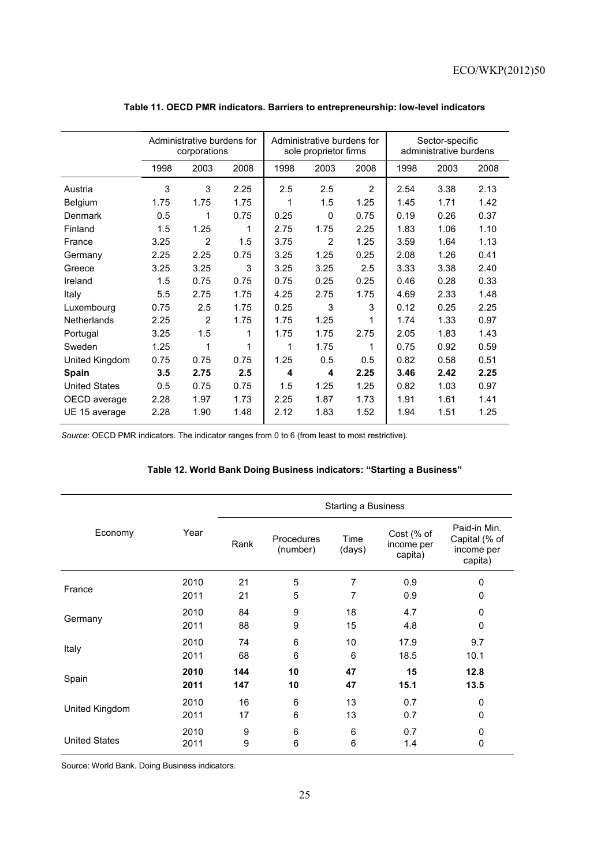|                      | Administrative burdens for<br>corporations |                |      | Administrative burdens for<br>sole proprietor firms |              |      | Sector-specific<br>administrative burdens |      |      |
|----------------------|--------------------------------------------|----------------|------|-----------------------------------------------------|--------------|------|-------------------------------------------|------|------|
|                      | 1998                                       | 2003           | 2008 | 1998                                                | 2003         | 2008 | 1998                                      | 2003 | 2008 |
| Austria              | 3                                          | 3              | 2.25 | 2.5                                                 | 2.5          | 2    | 2.54                                      | 3.38 | 2.13 |
| Belgium              | 1.75                                       | 1.75           | 1.75 | 1                                                   | 1.5          | 1.25 | 1.45                                      | 1.71 | 1.42 |
| Denmark              | 0.5                                        | 1              | 0.75 | 0.25                                                | $\mathbf{0}$ | 0.75 | 0.19                                      | 0.26 | 0.37 |
| Finland              | 1.5                                        | 1.25           | 1    | 2.75                                                | 1.75         | 2.25 | 1.83                                      | 1.06 | 1.10 |
| France               | 3.25                                       | $\overline{2}$ | 1.5  | 3.75                                                | 2            | 1.25 | 3.59                                      | 1.64 | 1.13 |
| Germany              | 2.25                                       | 2.25           | 0.75 | 3.25                                                | 1.25         | 0.25 | 2.08                                      | 1.26 | 0.41 |
| Greece               | 3.25                                       | 3.25           | 3    | 3.25                                                | 3.25         | 2.5  | 3.33                                      | 3.38 | 2.40 |
| Ireland              | 1.5                                        | 0.75           | 0.75 | 0.75                                                | 0.25         | 0.25 | 0.46                                      | 0.28 | 0.33 |
| Italy                | 5.5                                        | 2.75           | 1.75 | 4.25                                                | 2.75         | 1.75 | 4.69                                      | 2.33 | 1.48 |
| Luxembourg           | 0.75                                       | 2.5            | 1.75 | 0.25                                                | 3            | 3    | 0.12                                      | 0.25 | 2.25 |
| Netherlands          | 2.25                                       | 2              | 1.75 | 1.75                                                | 1.25         | 1    | 1.74                                      | 1.33 | 0.97 |
| Portugal             | 3.25                                       | 1.5            | 1    | 1.75                                                | 1.75         | 2.75 | 2.05                                      | 1.83 | 1.43 |
| Sweden               | 1.25                                       | 1              | 1    | 1                                                   | 1.75         | 1    | 0.75                                      | 0.92 | 0.59 |
| United Kingdom       | 0.75                                       | 0.75           | 0.75 | 1.25                                                | 0.5          | 0.5  | 0.82                                      | 0.58 | 0.51 |
| <b>Spain</b>         | 3.5                                        | 2.75           | 2.5  | 4                                                   | 4            | 2.25 | 3.46                                      | 2.42 | 2.25 |
| <b>United States</b> | 0.5                                        | 0.75           | 0.75 | 1.5                                                 | 1.25         | 1.25 | 0.82                                      | 1.03 | 0.97 |
| OECD average         | 2.28                                       | 1.97           | 1.73 | 2.25                                                | 1.87         | 1.73 | 1.91                                      | 1.61 | 1.41 |
| UE 15 average        | 2.28                                       | 1.90           | 1.48 | 2.12                                                | 1.83         | 1.52 | 1.94                                      | 1.51 | 1.25 |
|                      |                                            |                |      |                                                     |              |      |                                           |      |      |

# **Table 11. OECD PMR indicators. Barriers to entrepreneurship: low-level indicators**

*Source*: OECD PMR indicators. The indicator ranges from 0 to 6 (from least to most restrictive).

# **Table 12. World Bank Doing Business indicators: "Starting a Business"**

|                      |      | <b>Starting a Business</b> |                        |                |                                     |                                                        |  |
|----------------------|------|----------------------------|------------------------|----------------|-------------------------------------|--------------------------------------------------------|--|
| Economy              | Year | Rank                       | Procedures<br>(number) | Time<br>(days) | Cost (% of<br>income per<br>capita) | Paid-in Min.<br>Capital (% of<br>income per<br>capita) |  |
|                      | 2010 | 21                         | 5                      | 7              | 0.9                                 | $\Omega$                                               |  |
| France               | 2011 | 21                         | 5                      | 7              | 0.9                                 | 0                                                      |  |
|                      | 2010 | 84                         | 9                      | 18             | 4.7                                 | 0                                                      |  |
| Germany              | 2011 | 88                         | 9                      | 15             | 4.8                                 | 0                                                      |  |
| Italy                | 2010 | 74                         | 6                      | 10             | 17.9                                | 9.7                                                    |  |
|                      | 2011 | 68                         | 6                      | 6              | 18.5                                | 10.1                                                   |  |
| Spain                | 2010 | 144                        | 10                     | 47             | 15                                  | 12.8                                                   |  |
|                      | 2011 | 147                        | 10                     | 47             | 15.1                                | 13.5                                                   |  |
| United Kingdom       | 2010 | 16                         | 6                      | 13             | 0.7                                 | 0                                                      |  |
|                      | 2011 | 17                         | 6                      | 13             | 0.7                                 | $\mathbf 0$                                            |  |
|                      | 2010 | 9                          | 6                      | 6              | 0.7                                 | 0                                                      |  |
| <b>United States</b> | 2011 | 9                          | 6                      | 6              | 1.4                                 | $\mathbf 0$                                            |  |

Source: World Bank. Doing Business indicators.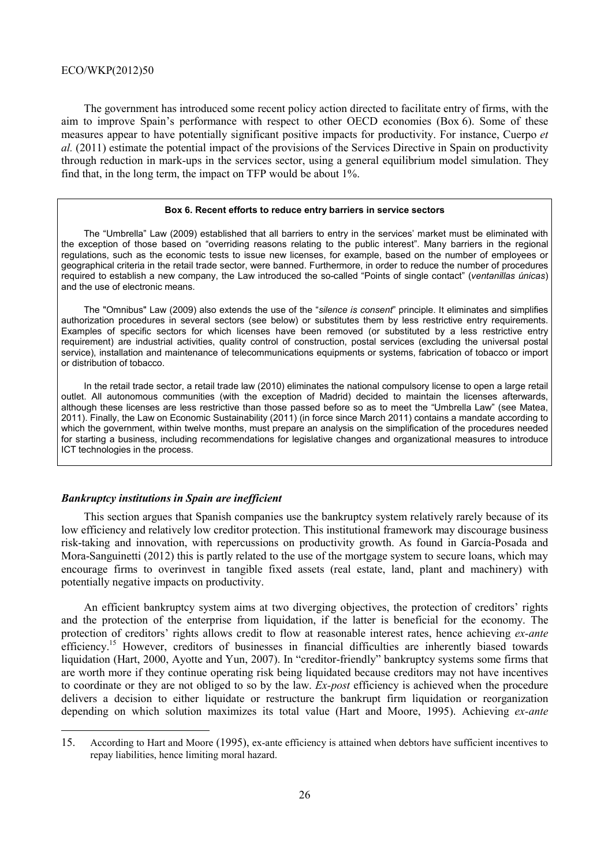The government has introduced some recent policy action directed to facilitate entry of firms, with the aim to improve Spain's performance with respect to other OECD economies (Box 6). Some of these measures appear to have potentially significant positive impacts for productivity. For instance, Cuerpo *et al.* (2011) estimate the potential impact of the provisions of the Services Directive in Spain on productivity through reduction in mark-ups in the services sector, using a general equilibrium model simulation. They find that, in the long term, the impact on TFP would be about 1%.

#### **Box 6. Recent efforts to reduce entry barriers in service sectors**

The "Umbrella" Law (2009) established that all barriers to entry in the services' market must be eliminated with the exception of those based on "overriding reasons relating to the public interest". Many barriers in the regional regulations, such as the economic tests to issue new licenses, for example, based on the number of employees or geographical criteria in the retail trade sector, were banned. Furthermore, in order to reduce the number of procedures required to establish a new company, the Law introduced the so-called "Points of single contact" (*ventanillas únicas*) and the use of electronic means.

The "Omnibus" Law (2009) also extends the use of the "*silence is consent*" principle. It eliminates and simplifies authorization procedures in several sectors (see below) or substitutes them by less restrictive entry requirements. Examples of specific sectors for which licenses have been removed (or substituted by a less restrictive entry requirement) are industrial activities, quality control of construction, postal services (excluding the universal postal service), installation and maintenance of telecommunications equipments or systems, fabrication of tobacco or import or distribution of tobacco.

In the retail trade sector, a retail trade law (2010) eliminates the national compulsory license to open a large retail outlet. All autonomous communities (with the exception of Madrid) decided to maintain the licenses afterwards, although these licenses are less restrictive than those passed before so as to meet the "Umbrella Law" (see Matea, 2011). Finally, the Law on Economic Sustainability (2011) (in force since March 2011) contains a mandate according to which the government, within twelve months, must prepare an analysis on the simplification of the procedures needed for starting a business, including recommendations for legislative changes and organizational measures to introduce ICT technologies in the process.

## *Bankruptcy institutions in Spain are inefficient*

 $\overline{a}$ 

This section argues that Spanish companies use the bankruptcy system relatively rarely because of its low efficiency and relatively low creditor protection. This institutional framework may discourage business risk-taking and innovation, with repercussions on productivity growth. As found in García-Posada and Mora-Sanguinetti (2012) this is partly related to the use of the mortgage system to secure loans, which may encourage firms to overinvest in tangible fixed assets (real estate, land, plant and machinery) with potentially negative impacts on productivity.

An efficient bankruptcy system aims at two diverging objectives, the protection of creditors' rights and the protection of the enterprise from liquidation, if the latter is beneficial for the economy. The protection of creditors' rights allows credit to flow at reasonable interest rates, hence achieving *ex-ante* efficiency.<sup>15</sup> However, creditors of businesses in financial difficulties are inherently biased towards liquidation (Hart, 2000, Ayotte and Yun, 2007). In "creditor-friendly" bankruptcy systems some firms that are worth more if they continue operating risk being liquidated because creditors may not have incentives to coordinate or they are not obliged to so by the law. *Ex-post* efficiency is achieved when the procedure delivers a decision to either liquidate or restructure the bankrupt firm liquidation or reorganization depending on which solution maximizes its total value (Hart and Moore, 1995). Achieving *ex-ante* 

<sup>15.</sup> According to Hart and Moore (1995), ex-ante efficiency is attained when debtors have sufficient incentives to repay liabilities, hence limiting moral hazard.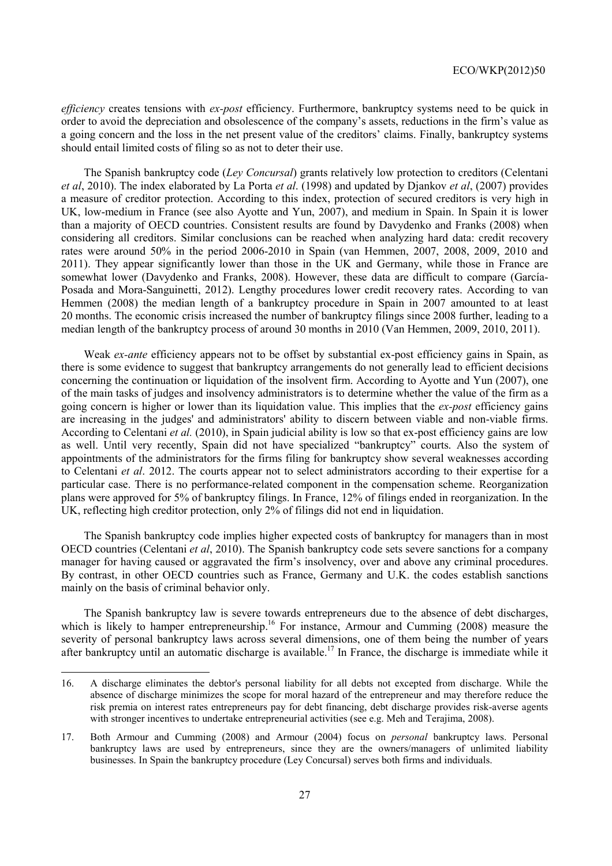*efficiency* creates tensions with *ex-post* efficiency. Furthermore, bankruptcy systems need to be quick in order to avoid the depreciation and obsolescence of the company's assets, reductions in the firm's value as a going concern and the loss in the net present value of the creditors' claims. Finally, bankruptcy systems should entail limited costs of filing so as not to deter their use.

The Spanish bankruptcy code (*Ley Concursal*) grants relatively low protection to creditors (Celentani *et al*, 2010). The index elaborated by La Porta *et al*. (1998) and updated by Djankov *et al*, (2007) provides a measure of creditor protection. According to this index, protection of secured creditors is very high in UK, low-medium in France (see also Ayotte and Yun, 2007), and medium in Spain. In Spain it is lower than a majority of OECD countries. Consistent results are found by Davydenko and Franks (2008) when considering all creditors. Similar conclusions can be reached when analyzing hard data: credit recovery rates were around 50% in the period 2006-2010 in Spain (van Hemmen, 2007, 2008, 2009, 2010 and 2011). They appear significantly lower than those in the UK and Germany, while those in France are somewhat lower (Davydenko and Franks, 2008). However, these data are difficult to compare (García-Posada and Mora-Sanguinetti, 2012). Lengthy procedures lower credit recovery rates. According to van Hemmen (2008) the median length of a bankruptcy procedure in Spain in 2007 amounted to at least 20 months. The economic crisis increased the number of bankruptcy filings since 2008 further, leading to a median length of the bankruptcy process of around 30 months in 2010 (Van Hemmen, 2009, 2010, 2011).

Weak *ex-ante* efficiency appears not to be offset by substantial ex-post efficiency gains in Spain, as there is some evidence to suggest that bankruptcy arrangements do not generally lead to efficient decisions concerning the continuation or liquidation of the insolvent firm. According to Ayotte and Yun (2007), one of the main tasks of judges and insolvency administrators is to determine whether the value of the firm as a going concern is higher or lower than its liquidation value. This implies that the *ex-post* efficiency gains are increasing in the judges' and administrators' ability to discern between viable and non-viable firms. According to Celentani *et al.* (2010), in Spain judicial ability is low so that ex-post efficiency gains are low as well. Until very recently, Spain did not have specialized "bankruptcy" courts. Also the system of appointments of the administrators for the firms filing for bankruptcy show several weaknesses according to Celentani *et al*. 2012. The courts appear not to select administrators according to their expertise for a particular case. There is no performance-related component in the compensation scheme. Reorganization plans were approved for 5% of bankruptcy filings. In France, 12% of filings ended in reorganization. In the UK, reflecting high creditor protection, only 2% of filings did not end in liquidation.

The Spanish bankruptcy code implies higher expected costs of bankruptcy for managers than in most OECD countries (Celentani *et al*, 2010). The Spanish bankruptcy code sets severe sanctions for a company manager for having caused or aggravated the firm's insolvency, over and above any criminal procedures. By contrast, in other OECD countries such as France, Germany and U.K. the codes establish sanctions mainly on the basis of criminal behavior only.

The Spanish bankruptcy law is severe towards entrepreneurs due to the absence of debt discharges, which is likely to hamper entrepreneurship.<sup>16</sup> For instance, Armour and Cumming (2008) measure the severity of personal bankruptcy laws across several dimensions, one of them being the number of years after bankruptcy until an automatic discharge is available.<sup>17</sup> In France, the discharge is immediate while it

<sup>16.</sup> A discharge eliminates the debtor's personal liability for all debts not excepted from discharge. While the absence of discharge minimizes the scope for moral hazard of the entrepreneur and may therefore reduce the risk premia on interest rates entrepreneurs pay for debt financing, debt discharge provides risk-averse agents with stronger incentives to undertake entrepreneurial activities (see e.g. Meh and Terajima, 2008).

<sup>17.</sup> Both Armour and Cumming (2008) and Armour (2004) focus on *personal* bankruptcy laws. Personal bankruptcy laws are used by entrepreneurs, since they are the owners/managers of unlimited liability businesses. In Spain the bankruptcy procedure (Ley Concursal) serves both firms and individuals.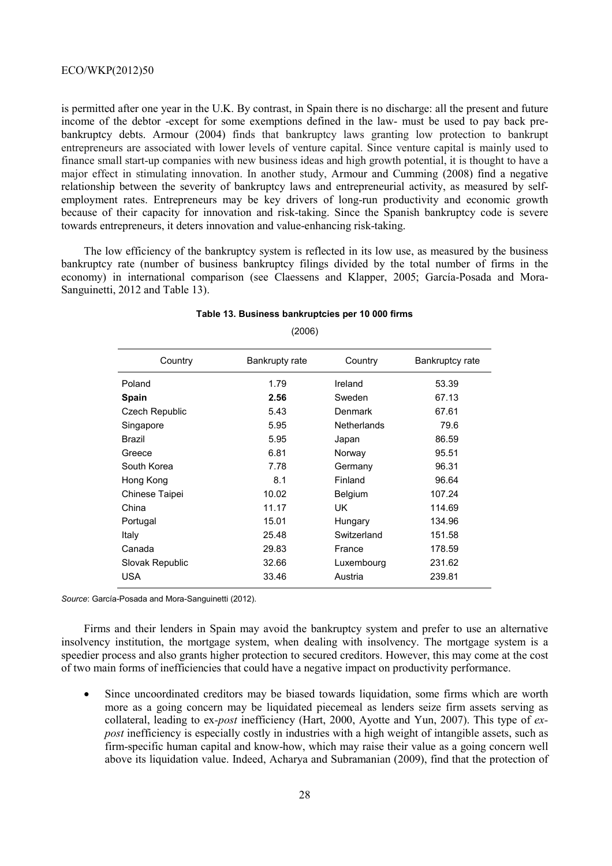is permitted after one year in the U.K. By contrast, in Spain there is no discharge: all the present and future income of the debtor -except for some exemptions defined in the law- must be used to pay back prebankruptcy debts. Armour (2004) finds that bankruptcy laws granting low protection to bankrupt entrepreneurs are associated with lower levels of venture capital. Since venture capital is mainly used to finance small start-up companies with new business ideas and high growth potential, it is thought to have a major effect in stimulating innovation. In another study, Armour and Cumming (2008) find a negative relationship between the severity of bankruptcy laws and entrepreneurial activity, as measured by selfemployment rates. Entrepreneurs may be key drivers of long-run productivity and economic growth because of their capacity for innovation and risk-taking. Since the Spanish bankruptcy code is severe towards entrepreneurs, it deters innovation and value-enhancing risk-taking.

The low efficiency of the bankruptcy system is reflected in its low use, as measured by the business bankruptcy rate (number of business bankruptcy filings divided by the total number of firms in the economy) in international comparison (see Claessens and Klapper, 2005; García-Posada and Mora-Sanguinetti, 2012 and Table 13).

| Country         | Bankrupty rate | Country            | Bankruptcy rate |
|-----------------|----------------|--------------------|-----------------|
| Poland          | 1.79           | Ireland            | 53.39           |
| <b>Spain</b>    | 2.56           | Sweden             | 67.13           |
| Czech Republic  | 5.43           | Denmark            | 67.61           |
| Singapore       | 5.95           | <b>Netherlands</b> | 79.6            |
| Brazil          | 5.95           | Japan              | 86.59           |
| Greece          | 6.81           | Norway             | 95.51           |
| South Korea     | 7.78           | Germany            | 96.31           |
| Hong Kong       | 8.1            | Finland            | 96.64           |
| Chinese Taipei  | 10.02          | <b>Belgium</b>     | 107.24          |
| China           | 11.17          | UK                 | 114.69          |
| Portugal        | 15.01          | Hungary            | 134.96          |
| Italy           | 25.48          | Switzerland        | 151.58          |
| Canada          | 29.83          | France             | 178.59          |
| Slovak Republic | 32.66          | Luxembourg         | 231.62          |
| <b>USA</b>      | 33.46          | Austria            | 239.81          |

#### **Table 13. Business bankruptcies per 10 000 firms**

(2006)

*Source*: García-Posada and Mora-Sanguinetti (2012).

Firms and their lenders in Spain may avoid the bankruptcy system and prefer to use an alternative insolvency institution, the mortgage system, when dealing with insolvency. The mortgage system is a speedier process and also grants higher protection to secured creditors. However, this may come at the cost of two main forms of inefficiencies that could have a negative impact on productivity performance.

• Since uncoordinated creditors may be biased towards liquidation, some firms which are worth more as a going concern may be liquidated piecemeal as lenders seize firm assets serving as collateral, leading to ex*-post* inefficiency (Hart, 2000, Ayotte and Yun, 2007). This type of *expost* inefficiency is especially costly in industries with a high weight of intangible assets, such as firm-specific human capital and know-how, which may raise their value as a going concern well above its liquidation value. Indeed, Acharya and Subramanian (2009), find that the protection of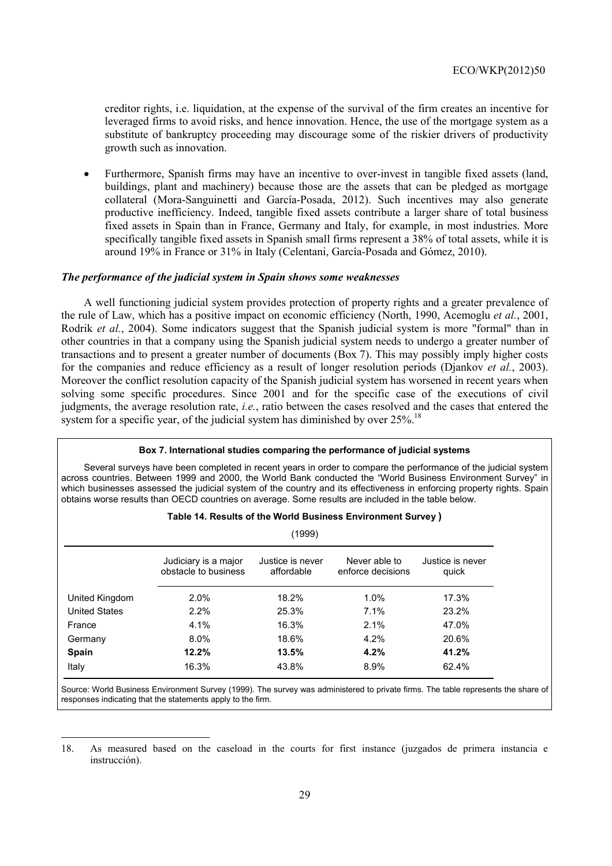creditor rights, i.e. liquidation, at the expense of the survival of the firm creates an incentive for leveraged firms to avoid risks, and hence innovation. Hence, the use of the mortgage system as a substitute of bankruptcy proceeding may discourage some of the riskier drivers of productivity growth such as innovation.

• Furthermore, Spanish firms may have an incentive to over-invest in tangible fixed assets (land, buildings, plant and machinery) because those are the assets that can be pledged as mortgage collateral (Mora-Sanguinetti and García-Posada, 2012). Such incentives may also generate productive inefficiency. Indeed, tangible fixed assets contribute a larger share of total business fixed assets in Spain than in France, Germany and Italy, for example, in most industries. More specifically tangible fixed assets in Spanish small firms represent a 38% of total assets, while it is around 19% in France or 31% in Italy (Celentani, García-Posada and Gómez, 2010).

# *The performance of the judicial system in Spain shows some weaknesses*

A well functioning judicial system provides protection of property rights and a greater prevalence of the rule of Law, which has a positive impact on economic efficiency (North, 1990, Acemoglu *et al.*, 2001, Rodrik *et al.*, 2004). Some indicators suggest that the Spanish judicial system is more "formal" than in other countries in that a company using the Spanish judicial system needs to undergo a greater number of transactions and to present a greater number of documents (Box 7). This may possibly imply higher costs for the companies and reduce efficiency as a result of longer resolution periods (Djankov *et al.*, 2003). Moreover the conflict resolution capacity of the Spanish judicial system has worsened in recent years when solving some specific procedures. Since 2001 and for the specific case of the executions of civil judgments, the average resolution rate, *i.e.*, ratio between the cases resolved and the cases that entered the system for a specific year, of the judicial system has diminished by over  $25\%$ .<sup>18</sup>

#### **Box 7. International studies comparing the performance of judicial systems**

Several surveys have been completed in recent years in order to compare the performance of the judicial system across countries. Between 1999 and 2000, the World Bank conducted the "World Business Environment Survey" in which businesses assessed the judicial system of the country and its effectiveness in enforcing property rights. Spain obtains worse results than OECD countries on average. Some results are included in the table below.

|                      |                                              | (1999)                         |                                    |                           |
|----------------------|----------------------------------------------|--------------------------------|------------------------------------|---------------------------|
|                      | Judiciary is a major<br>obstacle to business | Justice is never<br>affordable | Never able to<br>enforce decisions | Justice is never<br>quick |
| United Kingdom       | 2.0%                                         | 18.2%                          | 1.0%                               | 17.3%                     |
| <b>United States</b> | 2.2%                                         | 25.3%                          | 7.1%                               | 23.2%                     |
| France               | 4.1%                                         | 16.3%                          | 2.1%                               | 47.0%                     |
| Germany              | $8.0\%$                                      | 18.6%                          | 4.2%                               | 20.6%                     |
| <b>Spain</b>         | 12.2%                                        | 13.5%                          | 4.2%                               | 41.2%                     |
| Italy                | 16.3%                                        | 43.8%                          | 8.9%                               | 62.4%                     |

#### **Table 14. Results of the World Business Environment Survey )**

Source: World Business Environment Survey (1999). The survey was administered to private firms. The table represents the share of responses indicating that the statements apply to the firm.

<sup>18.</sup> As measured based on the caseload in the courts for first instance (juzgados de primera instancia e instrucción).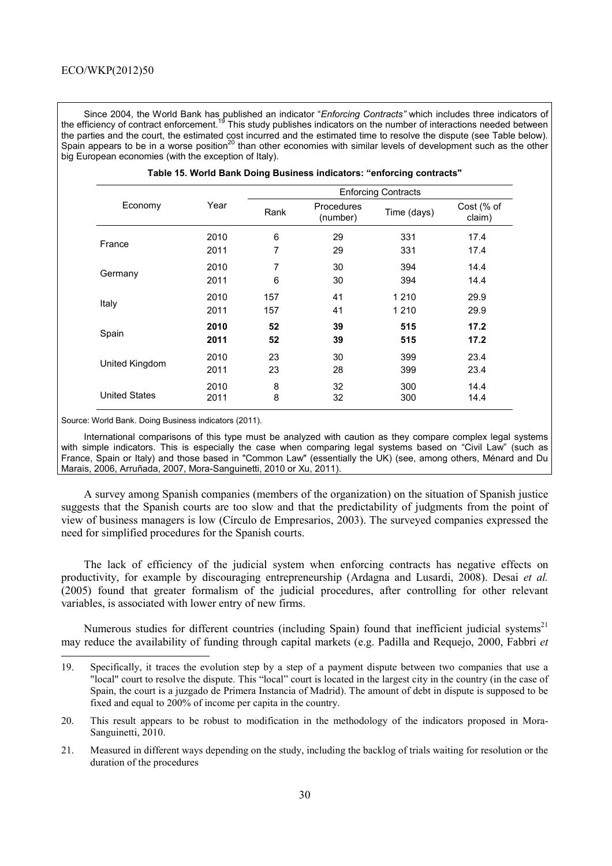Since 2004, the World Bank has published an indicator "*Enforcing Contracts"* which includes three indicators of the efficiency of contract enforcement.<sup>19</sup> This study publishes indicators on the number of interactions needed between the parties and the court, the estimated cost incurred and the estimated time to resolve the dispute (see Table below). Spain appears to be in a worse position<sup>20</sup> than other economies with similar levels of development such as the other big European economies (with the exception of Italy).

| Economy              | Year | Rank | Procedures<br>(number) | Time (days) | Cost (% of<br>claim) |
|----------------------|------|------|------------------------|-------------|----------------------|
|                      | 2010 | 6    | 29                     | 331         | 17.4                 |
| France               | 2011 | 7    | 29                     | 331         | 17.4                 |
|                      | 2010 | 7    | 30                     | 394         | 14.4                 |
| Germany              | 2011 | 6    | 30                     | 394         | 14.4                 |
|                      | 2010 | 157  | 41                     | 1 2 1 0     | 29.9                 |
| Italy                | 2011 | 157  | 41                     | 1 2 1 0     | 29.9                 |
|                      | 2010 | 52   | 39                     | 515         | 17.2                 |
| Spain                | 2011 | 52   | 39                     | 515         | 17.2                 |
|                      | 2010 | 23   | 30                     | 399         | 23.4                 |
| United Kingdom       | 2011 | 23   | 28                     | 399         | 23.4                 |
|                      | 2010 | 8    | 32                     | 300         | 14.4                 |
| <b>United States</b> | 2011 | 8    | 32                     | 300         | 14.4                 |

| Table 15. World Bank Doing Business indicators: "enforcing contracts" |  |  |
|-----------------------------------------------------------------------|--|--|
|-----------------------------------------------------------------------|--|--|

Source: World Bank. Doing Business indicators (2011).

International comparisons of this type must be analyzed with caution as they compare complex legal systems with simple indicators. This is especially the case when comparing legal systems based on "Civil Law" (such as France, Spain or Italy) and those based in "Common Law" (essentially the UK) (see, among others, Ménard and Du Marais, 2006, Arruñada, 2007, Mora-Sanguinetti, 2010 or Xu, 2011).

A survey among Spanish companies (members of the organization) on the situation of Spanish justice suggests that the Spanish courts are too slow and that the predictability of judgments from the point of view of business managers is low (Círculo de Empresarios, 2003). The surveyed companies expressed the need for simplified procedures for the Spanish courts.

The lack of efficiency of the judicial system when enforcing contracts has negative effects on productivity, for example by discouraging entrepreneurship (Ardagna and Lusardi, 2008). Desai *et al.* (2005) found that greater formalism of the judicial procedures, after controlling for other relevant variables, is associated with lower entry of new firms.

Numerous studies for different countries (including Spain) found that inefficient judicial systems<sup>21</sup> may reduce the availability of funding through capital markets (e.g. Padilla and Requejo, 2000, Fabbri *et* 

<sup>19.</sup> Specifically, it traces the evolution step by a step of a payment dispute between two companies that use a "local" court to resolve the dispute. This "local" court is located in the largest city in the country (in the case of Spain, the court is a juzgado de Primera Instancia of Madrid). The amount of debt in dispute is supposed to be fixed and equal to 200% of income per capita in the country.

<sup>20.</sup> This result appears to be robust to modification in the methodology of the indicators proposed in Mora-Sanguinetti, 2010.

<sup>21.</sup> Measured in different ways depending on the study, including the backlog of trials waiting for resolution or the duration of the procedures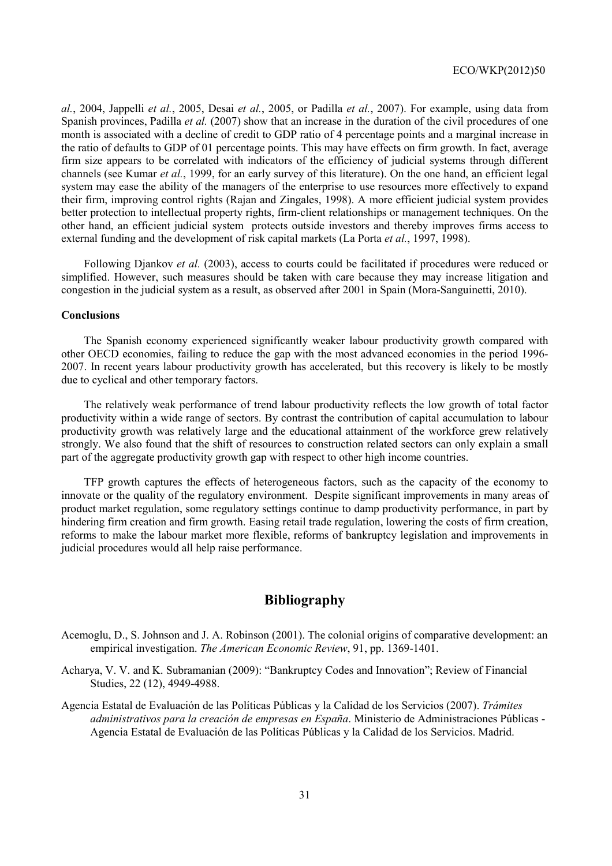*al.*, 2004, Jappelli *et al.*, 2005, Desai *et al.*, 2005, or Padilla *et al.*, 2007). For example, using data from Spanish provinces, Padilla *et al.* (2007) show that an increase in the duration of the civil procedures of one month is associated with a decline of credit to GDP ratio of 4 percentage points and a marginal increase in the ratio of defaults to GDP of 01 percentage points. This may have effects on firm growth. In fact, average firm size appears to be correlated with indicators of the efficiency of judicial systems through different channels (see Kumar *et al.*, 1999, for an early survey of this literature). On the one hand, an efficient legal system may ease the ability of the managers of the enterprise to use resources more effectively to expand their firm, improving control rights (Rajan and Zingales, 1998). A more efficient judicial system provides better protection to intellectual property rights, firm-client relationships or management techniques. On the other hand, an efficient judicial system protects outside investors and thereby improves firms access to external funding and the development of risk capital markets (La Porta *et al.*, 1997, 1998).

Following Djankov *et al.* (2003), access to courts could be facilitated if procedures were reduced or simplified. However, such measures should be taken with care because they may increase litigation and congestion in the judicial system as a result, as observed after 2001 in Spain (Mora-Sanguinetti, 2010).

#### **Conclusions**

The Spanish economy experienced significantly weaker labour productivity growth compared with other OECD economies, failing to reduce the gap with the most advanced economies in the period 1996- 2007. In recent years labour productivity growth has accelerated, but this recovery is likely to be mostly due to cyclical and other temporary factors.

The relatively weak performance of trend labour productivity reflects the low growth of total factor productivity within a wide range of sectors. By contrast the contribution of capital accumulation to labour productivity growth was relatively large and the educational attainment of the workforce grew relatively strongly. We also found that the shift of resources to construction related sectors can only explain a small part of the aggregate productivity growth gap with respect to other high income countries.

TFP growth captures the effects of heterogeneous factors, such as the capacity of the economy to innovate or the quality of the regulatory environment. Despite significant improvements in many areas of product market regulation, some regulatory settings continue to damp productivity performance, in part by hindering firm creation and firm growth. Easing retail trade regulation, lowering the costs of firm creation, reforms to make the labour market more flexible, reforms of bankruptcy legislation and improvements in judicial procedures would all help raise performance.

# **Bibliography**

- Acemoglu, D., S. Johnson and J. A. Robinson (2001). The colonial origins of comparative development: an empirical investigation. *The American Economic Review*, 91, pp. 1369-1401.
- Acharya, V. V. and K. Subramanian (2009): "Bankruptcy Codes and Innovation"; Review of Financial Studies, 22 (12), 4949-4988.
- Agencia Estatal de Evaluación de las Políticas Públicas y la Calidad de los Servicios (2007). *Trámites administrativos para la creación de empresas en España*. Ministerio de Administraciones Públicas - Agencia Estatal de Evaluación de las Políticas Públicas y la Calidad de los Servicios. Madrid.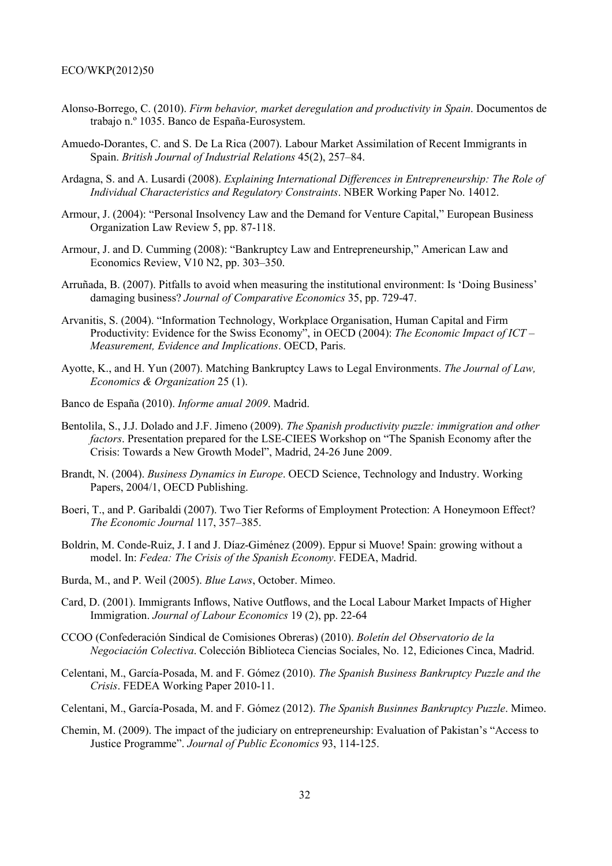- Alonso-Borrego, C. (2010). *Firm behavior, market deregulation and productivity in Spain*. Documentos de trabajo n.º 1035. Banco de España-Eurosystem.
- Amuedo-Dorantes, C. and S. De La Rica (2007). Labour Market Assimilation of Recent Immigrants in Spain. *British Journal of Industrial Relations* 45(2), 257–84.
- Ardagna, S. and A. Lusardi (2008). *Explaining International Differences in Entrepreneurship: The Role of Individual Characteristics and Regulatory Constraints*. NBER Working Paper No. 14012.
- Armour, J. (2004): "Personal Insolvency Law and the Demand for Venture Capital," European Business Organization Law Review 5, pp. 87-118.
- Armour, J. and D. Cumming (2008): "Bankruptcy Law and Entrepreneurship," American Law and Economics Review, V10 N2, pp. 303–350.
- Arruñada, B. (2007). Pitfalls to avoid when measuring the institutional environment: Is 'Doing Business' damaging business? *Journal of Comparative Economics* 35, pp. 729-47.
- Arvanitis, S. (2004). "Information Technology, Workplace Organisation, Human Capital and Firm Productivity: Evidence for the Swiss Economy", in OECD (2004): *The Economic Impact of ICT – Measurement, Evidence and Implications*. OECD, Paris.
- Ayotte, K., and H. Yun (2007). Matching Bankruptcy Laws to Legal Environments. *The Journal of Law, Economics & Organization* 25 (1).
- Banco de España (2010). *Informe anual 2009*. Madrid.
- Bentolila, S., J.J. Dolado and J.F. Jimeno (2009). *The Spanish productivity puzzle: immigration and other factors*. Presentation prepared for the LSE-CIEES Workshop on "The Spanish Economy after the Crisis: Towards a New Growth Model", Madrid, 24-26 June 2009.
- Brandt, N. (2004). *Business Dynamics in Europe*. OECD Science, Technology and Industry. Working Papers, 2004/1, OECD Publishing.
- Boeri, T., and P. Garibaldi (2007). Two Tier Reforms of Employment Protection: A Honeymoon Effect? *The Economic Journal* 117, 357–385.
- Boldrin, M. Conde-Ruiz, J. I and J. Díaz-Giménez (2009). Eppur si Muove! Spain: growing without a model. In: *Fedea: The Crisis of the Spanish Economy*. FEDEA, Madrid.
- Burda, M., and P. Weil (2005). *Blue Laws*, October. Mimeo.
- Card, D. (2001). Immigrants Inflows, Native Outflows, and the Local Labour Market Impacts of Higher Immigration. *Journal of Labour Economics* 19 (2), pp. 22-64
- CCOO (Confederación Sindical de Comisiones Obreras) (2010). *Boletín del Observatorio de la Negociación Colectiva*. Colección Biblioteca Ciencias Sociales, No. 12, Ediciones Cinca, Madrid.
- Celentani, M., García-Posada, M. and F. Gómez (2010). *The Spanish Business Bankruptcy Puzzle and the Crisis*. FEDEA Working Paper 2010-11.
- Celentani, M., García-Posada, M. and F. Gómez (2012). *The Spanish Businnes Bankruptcy Puzzle*. Mimeo.
- Chemin, M. (2009). The impact of the judiciary on entrepreneurship: Evaluation of Pakistan's "Access to Justice Programme". *Journal of Public Economics* 93, 114-125.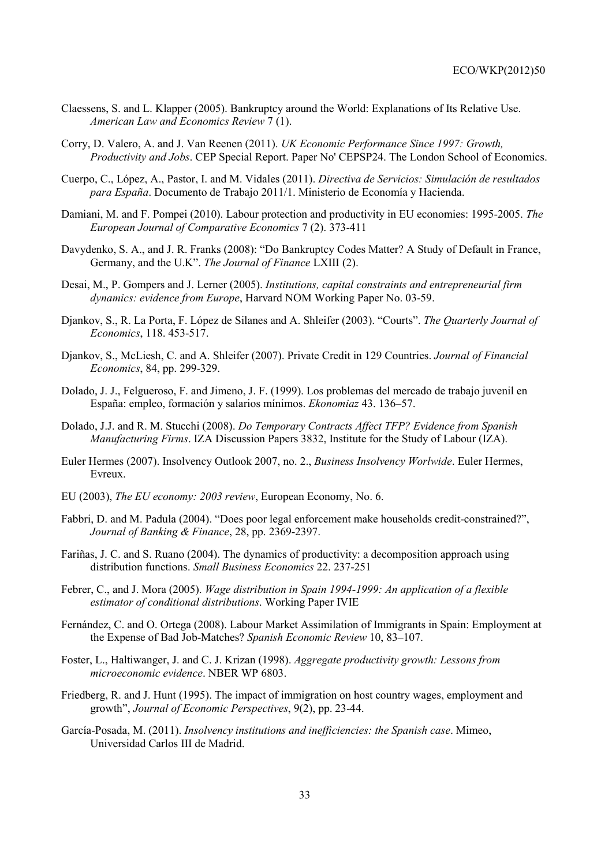- Claessens, S. and L. Klapper (2005). Bankruptcy around the World: Explanations of Its Relative Use. *American Law and Economics Review* 7 (1).
- Corry, D. Valero, A. and J. Van Reenen (2011). *UK Economic Performance Since 1997: Growth, Productivity and Jobs*. CEP Special Report. Paper No' CEPSP24. The London School of Economics.
- Cuerpo, C., López, A., Pastor, I. and M. Vidales (2011). *Directiva de Servicios: Simulación de resultados para España*. Documento de Trabajo 2011/1. Ministerio de Economía y Hacienda.
- Damiani, M. and F. Pompei (2010). Labour protection and productivity in EU economies: 1995-2005. *The European Journal of Comparative Economics* 7 (2). 373-411
- Davydenko, S. A., and J. R. Franks (2008): "Do Bankruptcy Codes Matter? A Study of Default in France, Germany, and the U.K". *The Journal of Finance* LXIII (2).
- Desai, M., P. Gompers and J. Lerner (2005). *Institutions, capital constraints and entrepreneurial firm dynamics: evidence from Europe*, Harvard NOM Working Paper No. 03-59.
- Djankov, S., R. La Porta, F. López de Silanes and A. Shleifer (2003). "Courts". *The Quarterly Journal of Economics*, 118. 453-517.
- Djankov, S., McLiesh, C. and A. Shleifer (2007). Private Credit in 129 Countries. *Journal of Financial Economics*, 84, pp. 299-329.
- Dolado, J. J., Felgueroso, F. and Jimeno, J. F. (1999). Los problemas del mercado de trabajo juvenil en España: empleo, formación y salarios mínimos. *Ekonomiaz* 43. 136–57.
- Dolado, J.J. and R. M. Stucchi (2008). *Do Temporary Contracts Affect TFP? Evidence from Spanish Manufacturing Firms*. IZA Discussion Papers 3832, Institute for the Study of Labour (IZA).
- Euler Hermes (2007). Insolvency Outlook 2007, no. 2., *Business Insolvency Worlwide*. Euler Hermes, Evreux.
- EU (2003), *The EU economy: 2003 review*, European Economy, No. 6.
- Fabbri, D. and M. Padula (2004). "Does poor legal enforcement make households credit-constrained?", *Journal of Banking & Finance*, 28, pp. 2369-2397.
- Fariñas, J. C. and S. Ruano (2004). The dynamics of productivity: a decomposition approach using distribution functions. *Small Business Economics* 22. 237-251
- Febrer, C., and J. Mora (2005). *Wage distribution in Spain 1994-1999: An application of a flexible estimator of conditional distributions*. Working Paper IVIE
- Fernández, C. and O. Ortega (2008). Labour Market Assimilation of Immigrants in Spain: Employment at the Expense of Bad Job-Matches? *Spanish Economic Review* 10, 83–107.
- Foster, L., Haltiwanger, J. and C. J. Krizan (1998). *Aggregate productivity growth: Lessons from microeconomic evidence*. NBER WP 6803.
- Friedberg, R. and J. Hunt (1995). The impact of immigration on host country wages, employment and growth", *Journal of Economic Perspectives*, 9(2), pp. 23-44.
- García-Posada, M. (2011). *Insolvency institutions and inefficiencies: the Spanish case*. Mimeo, Universidad Carlos III de Madrid.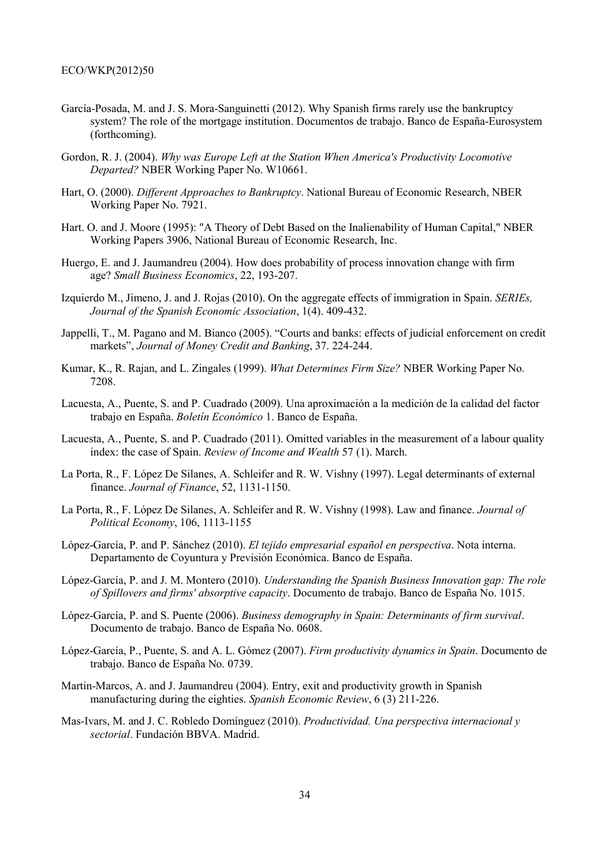- García-Posada, M. and J. S. Mora-Sanguinetti (2012). Why Spanish firms rarely use the bankruptcy system? The role of the mortgage institution. Documentos de trabajo. Banco de España-Eurosystem (forthcoming).
- Gordon, R. J. (2004). *Why was Europe Left at the Station When America's Productivity Locomotive Departed?* NBER Working Paper No. W10661.
- Hart, O. (2000). *Different Approaches to Bankruptcy*. National Bureau of Economic Research, NBER Working Paper No. 7921.
- Hart. O. and J. Moore (1995): "A Theory of Debt Based on the Inalienability of Human Capital," NBER Working Papers 3906, National Bureau of Economic Research, Inc.
- Huergo, E. and J. Jaumandreu (2004). How does probability of process innovation change with firm age? *Small Business Economics*, 22, 193-207.
- Izquierdo M., Jimeno, J. and J. Rojas (2010). On the aggregate effects of immigration in Spain. *SERIEs, Journal of the Spanish Economic Association*, 1(4). 409-432.
- Jappelli, T., M. Pagano and M. Bianco (2005). "Courts and banks: effects of judicial enforcement on credit markets", *Journal of Money Credit and Banking*, 37. 224-244.
- Kumar, K., R. Rajan, and L. Zingales (1999). *What Determines Firm Size?* NBER Working Paper No. 7208.
- Lacuesta, A., Puente, S. and P. Cuadrado (2009). Una aproximación a la medición de la calidad del factor trabajo en España. *Boletín Económico* 1. Banco de España.
- Lacuesta, A., Puente, S. and P. Cuadrado (2011). Omitted variables in the measurement of a labour quality index: the case of Spain. *Review of Income and Wealth* 57 (1). March.
- La Porta, R., F. López De Silanes, A. Schleifer and R. W. Vishny (1997). Legal determinants of external finance. *Journal of Finance*, 52, 1131-1150.
- La Porta, R., F. López De Silanes, A. Schleifer and R. W. Vishny (1998). Law and finance. *Journal of Political Economy*, 106, 1113-1155
- López-García, P. and P. Sánchez (2010). *El tejido empresarial español en perspectiva*. Nota interna. Departamento de Coyuntura y Previsión Económica. Banco de España.
- López-García, P. and J. M. Montero (2010). *Understanding the Spanish Business Innovation gap: The role of Spillovers and firms' absorptive capacity*. Documento de trabajo. Banco de España No. 1015.
- López-García, P. and S. Puente (2006). *Business demography in Spain: Determinants of firm survival*. Documento de trabajo. Banco de España No. 0608.
- López-García, P., Puente, S. and A. L. Gómez (2007). *Firm productivity dynamics in Spain*. Documento de trabajo. Banco de España No. 0739.
- Martin-Marcos, A. and J. Jaumandreu (2004). Entry, exit and productivity growth in Spanish manufacturing during the eighties. *Spanish Economic Review*, 6 (3) 211-226.
- Mas-Ivars, M. and J. C. Robledo Domínguez (2010). *Productividad. Una perspectiva internacional y sectorial*. Fundación BBVA. Madrid.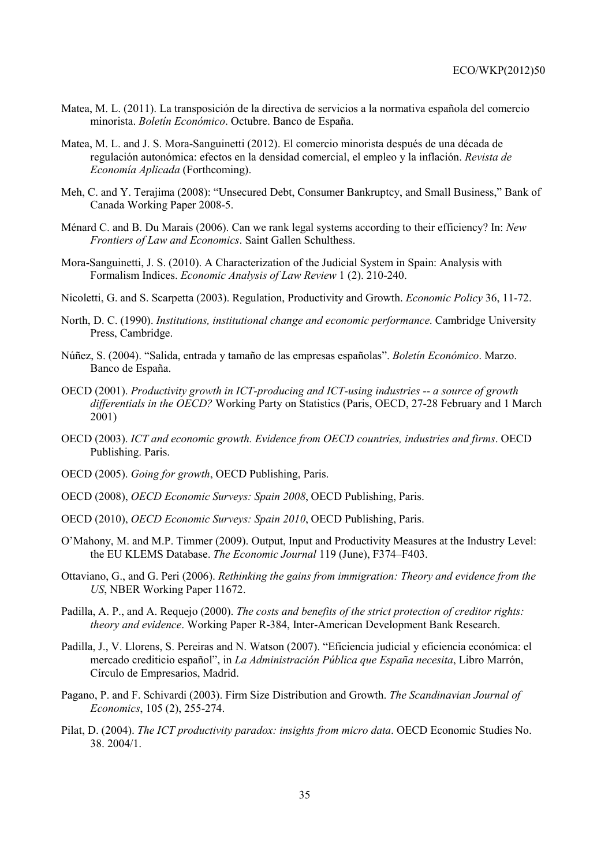- Matea, M. L. (2011). La transposición de la directiva de servicios a la normativa española del comercio minorista. *Boletín Económico*. Octubre. Banco de España.
- Matea, M. L. and J. S. Mora-Sanguinetti (2012). El comercio minorista después de una década de regulación autonómica: efectos en la densidad comercial, el empleo y la inflación. *Revista de Economía Aplicada* (Forthcoming).
- Meh, C. and Y. Terajima (2008): "Unsecured Debt, Consumer Bankruptcy, and Small Business," Bank of Canada Working Paper 2008-5.
- Ménard C. and B. Du Marais (2006). Can we rank legal systems according to their efficiency? In: *New Frontiers of Law and Economics*. Saint Gallen Schulthess.
- Mora-Sanguinetti, J. S. (2010). A Characterization of the Judicial System in Spain: Analysis with Formalism Indices. *Economic Analysis of Law Review* 1 (2). 210-240.
- Nicoletti, G. and S. Scarpetta (2003). Regulation, Productivity and Growth. *Economic Policy* 36, 11-72.
- North, D. C. (1990). *Institutions, institutional change and economic performance*. Cambridge University Press, Cambridge.
- Núñez, S. (2004). "Salida, entrada y tamaño de las empresas españolas". *Boletín Económico*. Marzo. Banco de España.
- OECD (2001). *Productivity growth in ICT-producing and ICT-using industries -- a source of growth differentials in the OECD?* Working Party on Statistics (Paris, OECD, 27-28 February and 1 March 2001)
- OECD (2003). *ICT and economic growth. Evidence from OECD countries, industries and firms*. OECD Publishing. Paris.
- OECD (2005). *Going for growth*, OECD Publishing, Paris.
- OECD (2008), *OECD Economic Surveys: Spain 2008*, OECD Publishing, Paris.
- OECD (2010), *OECD Economic Surveys: Spain 2010*, OECD Publishing, Paris.
- O'Mahony, M. and M.P. Timmer (2009). Output, Input and Productivity Measures at the Industry Level: the EU KLEMS Database. *The Economic Journal* 119 (June), F374–F403.
- Ottaviano, G., and G. Peri (2006). *Rethinking the gains from immigration: Theory and evidence from the US*, NBER Working Paper 11672.
- Padilla, A. P., and A. Requejo (2000). *The costs and benefits of the strict protection of creditor rights: theory and evidence*. Working Paper R-384, Inter-American Development Bank Research.
- Padilla, J., V. Llorens, S. Pereiras and N. Watson (2007). "Eficiencia judicial y eficiencia económica: el mercado crediticio español", in *La Administración Pública que España necesita*, Libro Marrón, Círculo de Empresarios, Madrid.
- Pagano, P. and F. Schivardi (2003). Firm Size Distribution and Growth. *The Scandinavian Journal of Economics*, 105 (2), 255-274.
- Pilat, D. (2004). *The ICT productivity paradox: insights from micro data*. OECD Economic Studies No. 38. 2004/1.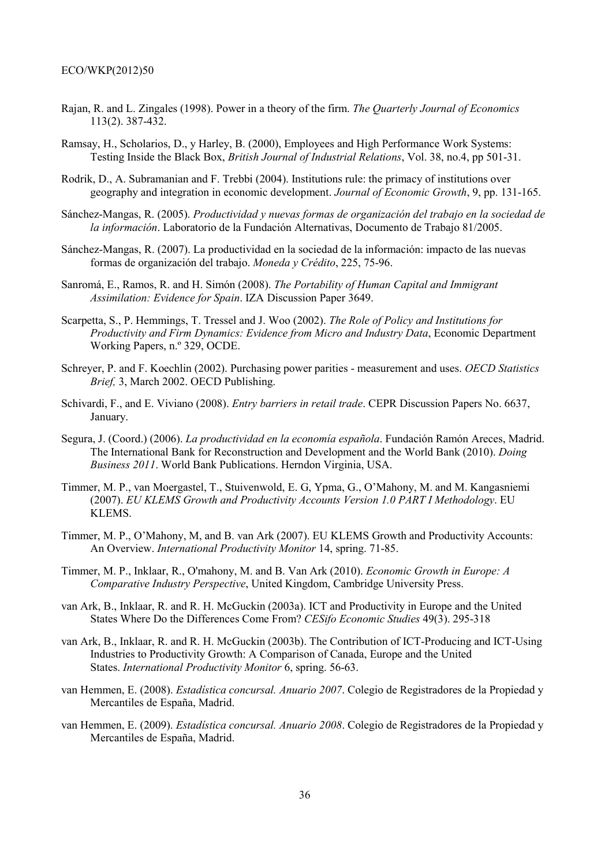- Rajan, R. and L. Zingales (1998). Power in a theory of the firm. *The Quarterly Journal of Economics* 113(2). 387-432.
- Ramsay, H., Scholarios, D., y Harley, B. (2000), Employees and High Performance Work Systems: Testing Inside the Black Box, *British Journal of Industrial Relations*, Vol. 38, no.4, pp 501-31.
- Rodrik, D., A. Subramanian and F. Trebbi (2004). Institutions rule: the primacy of institutions over geography and integration in economic development. *Journal of Economic Growth*, 9, pp. 131-165.
- Sánchez-Mangas, R. (2005). *Productividad y nuevas formas de organización del trabajo en la sociedad de la información*. Laboratorio de la Fundación Alternativas, Documento de Trabajo 81/2005.
- Sánchez-Mangas, R. (2007). La productividad en la sociedad de la información: impacto de las nuevas formas de organización del trabajo. *Moneda y Crédito*, 225, 75-96.
- Sanromá, E., Ramos, R. and H. Simón (2008). *The Portability of Human Capital and Immigrant Assimilation: Evidence for Spain*. IZA Discussion Paper 3649.
- Scarpetta, S., P. Hemmings, T. Tressel and J. Woo (2002). *The Role of Policy and Institutions for Productivity and Firm Dynamics: Evidence from Micro and Industry Data*, Economic Department Working Papers, n.º 329, OCDE.
- Schreyer, P. and F. Koechlin (2002). Purchasing power parities measurement and uses. *OECD Statistics Brief,* 3, March 2002. OECD Publishing.
- Schivardi, F., and E. Viviano (2008). *Entry barriers in retail trade*. CEPR Discussion Papers No. 6637, January.
- Segura, J. (Coord.) (2006). *La productividad en la economía española*. Fundación Ramón Areces, Madrid. The International Bank for Reconstruction and Development and the World Bank (2010). *Doing Business 2011*. World Bank Publications. Herndon Virginia, USA.
- Timmer, M. P., van Moergastel, T., Stuivenwold, E. G, Ypma, G., O'Mahony, M. and M. Kangasniemi (2007). *EU KLEMS Growth and Productivity Accounts Version 1.0 PART I Methodology*. EU KLEMS.
- Timmer, M. P., O'Mahony, M, and B. van Ark (2007). EU KLEMS Growth and Productivity Accounts: An Overview. *International Productivity Monitor* 14, spring. 71-85.
- Timmer, M. P., Inklaar, R., O'mahony, M. and B. Van Ark (2010). *Economic Growth in Europe: A Comparative Industry Perspective*, United Kingdom, Cambridge University Press.
- van Ark, B., Inklaar, R. and R. H. McGuckin (2003a). ICT and Productivity in Europe and the United States Where Do the Differences Come From? *CESifo Economic Studies* 49(3). 295-318
- van Ark, B., Inklaar, R. and R. H. McGuckin (2003b). The Contribution of ICT-Producing and ICT-Using Industries to Productivity Growth: A Comparison of Canada, Europe and the United States. *International Productivity Monitor* 6, spring. 56-63.
- van Hemmen, E. (2008). *Estadística concursal. Anuario 2007*. Colegio de Registradores de la Propiedad y Mercantiles de España, Madrid.
- van Hemmen, E. (2009). *Estadística concursal. Anuario 2008*. Colegio de Registradores de la Propiedad y Mercantiles de España, Madrid.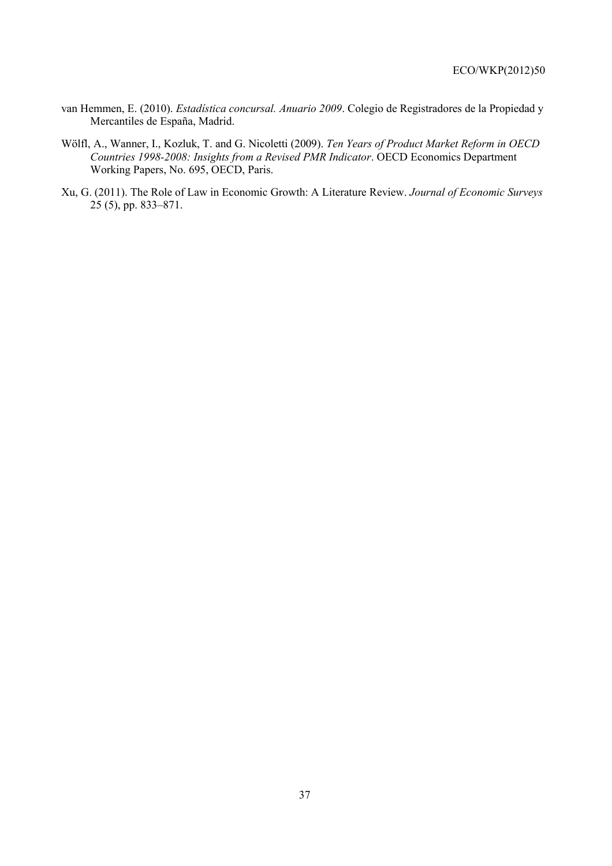- van Hemmen, E. (2010). *Estadística concursal. Anuario 2009*. Colegio de Registradores de la Propiedad y Mercantiles de España, Madrid.
- Wölfl, A., Wanner, I., Kozluk, T. and G. Nicoletti (2009). *Ten Years of Product Market Reform in OECD Countries 1998-2008: Insights from a Revised PMR Indicator*. OECD Economics Department Working Papers, No. 695, OECD, Paris.
- Xu, G. (2011). The Role of Law in Economic Growth: A Literature Review. *Journal of Economic Surveys* 25 (5), pp. 833–871.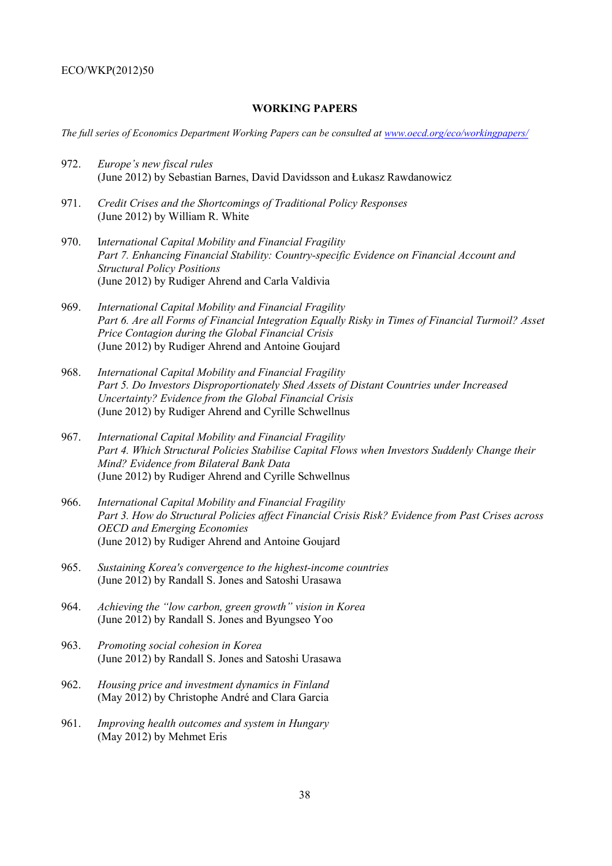# **WORKING PAPERS**

*The full series of Economics Department Working Papers can be consulted at www.oecd.org/eco/workingpapers/*

- 972. *Europe's new fiscal rules* (June 2012) by Sebastian Barnes, David Davidsson and Łukasz Rawdanowicz
- 971. *Credit Crises and the Shortcomings of Traditional Policy Responses*  (June 2012) by William R. White
- 970. I*nternational Capital Mobility and Financial Fragility Part 7. Enhancing Financial Stability: Country-specific Evidence on Financial Account and Structural Policy Positions*  (June 2012) by Rudiger Ahrend and Carla Valdivia
- 969. *International Capital Mobility and Financial Fragility Part 6. Are all Forms of Financial Integration Equally Risky in Times of Financial Turmoil? Asset Price Contagion during the Global Financial Crisis*  (June 2012) by Rudiger Ahrend and Antoine Goujard
- 968. *International Capital Mobility and Financial Fragility Part 5. Do Investors Disproportionately Shed Assets of Distant Countries under Increased Uncertainty? Evidence from the Global Financial Crisis*  (June 2012) by Rudiger Ahrend and Cyrille Schwellnus
- 967. *International Capital Mobility and Financial Fragility Part 4. Which Structural Policies Stabilise Capital Flows when Investors Suddenly Change their Mind? Evidence from Bilateral Bank Data*  (June 2012) by Rudiger Ahrend and Cyrille Schwellnus
- 966. *International Capital Mobility and Financial Fragility Part 3. How do Structural Policies affect Financial Crisis Risk? Evidence from Past Crises across OECD and Emerging Economies* (June 2012) by Rudiger Ahrend and Antoine Goujard
- 965. *Sustaining Korea's convergence to the highest-income countries* (June 2012) by Randall S. Jones and Satoshi Urasawa
- 964. *Achieving the "low carbon, green growth" vision in Korea* (June 2012) by Randall S. Jones and Byungseo Yoo
- 963. *Promoting social cohesion in Korea* (June 2012) by Randall S. Jones and Satoshi Urasawa
- 962. *Housing price and investment dynamics in Finland* (May 2012) by Christophe André and Clara Garcia
- 961. *Improving health outcomes and system in Hungary* (May 2012) by Mehmet Eris